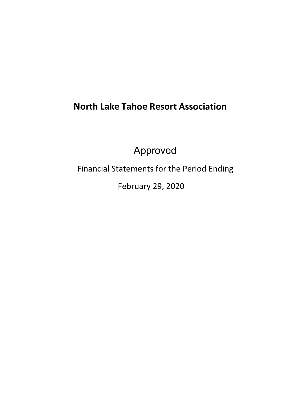# **North Lake Tahoe Resort Association**

Approved

Financial Statements for the Period Ending

February 29, 2020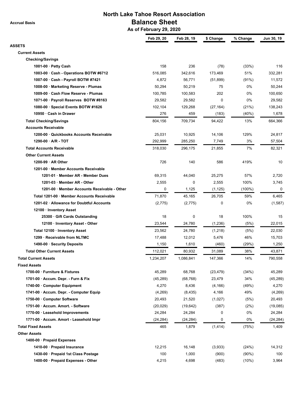**Accrual Basis**

### **North Lake Tahoe Resort Association Balance Sheet As of February 29, 2020**

|                                              | Feb 29, 20 | Feb 28, 19 | \$ Change   | % Change  | Jun 30, 19 |
|----------------------------------------------|------------|------------|-------------|-----------|------------|
| <b>ASSETS</b>                                |            |            |             |           |            |
| <b>Current Assets</b>                        |            |            |             |           |            |
| <b>Checking/Savings</b>                      |            |            |             |           |            |
| 1001-00 · Petty Cash                         | 158        | 236        | (78)        | (33%)     | 116        |
| 1003-00 Cash - Operations BOTW #6712         | 516,085    | 342,616    | 173,469     | 51%       | 332,281    |
| 1007-00 · Cash - Payroll BOTW #7421          | 4,872      | 56,771     | (51, 899)   | (91%)     | 11,572     |
| 1008-00 · Marketing Reserve - Plumas         | 50,294     | 50,219     | 75          | 0%        | 50,244     |
| 1009-00 · Cash Flow Reserve - Plumas         | 100,785    | 100,583    | 202         | 0%        | 100,650    |
| 1071-00 · Payroll Reserves BOTW #8163        | 29,582     | 29,582     | $\mathbf 0$ | 0%        | 29,582     |
| 1080-00 · Special Events BOTW #1626          | 102,104    | 129,268    | (27, 164)   | (21%)     | 138,243    |
| 10950 · Cash in Drawer                       | 276        | 459        | (183)       | (40%)     | 1,678      |
| <b>Total Checking/Savings</b>                | 804,156    | 709,734    | 94,422      | 13%       | 664,366    |
| <b>Accounts Receivable</b>                   |            |            |             |           |            |
| 1200-00 · Quickbooks Accounts Receivable     | 25,031     | 10,925     | 14,106      | 129%      | 24,817     |
| $1290-00 \cdot A/R - TOT$                    | 292,999    | 285,250    | 7,749       | 3%        | 57,504     |
| <b>Total Accounts Receivable</b>             | 318,030    | 296,175    | 21,855      | 7%        | 82,321     |
| <b>Other Current Assets</b>                  |            |            |             |           |            |
| 1200-99 $\cdot$ AR Other                     | 726        | 140        | 586         | 419%      | 10         |
| 1201-00 · Member Accounts Receivable         |            |            |             |           |            |
| 1201-01 · Member AR - Member Dues            | 69,315     | 44,040     | 25,275      | 57%       | 2,720      |
| 1201-03 · Member AR - Other                  | 2,555      | 0          | 2,555       | 100%      | 3,745      |
| 1201-00 · Member Accounts Receivable - Other | 0          | 1,125      | (1, 125)    | $(100\%)$ | 0          |
| Total 1201-00 · Member Accounts Receivable   | 71,870     | 45,165     | 26,705      | 59%       | 6,465      |
| 1201-02 · Allowance for Doubtful Accounts    | (2,775)    | (2,775)    | 0           | 0%        | (1,587)    |
| 12100 · Inventory Asset                      |            |            |             |           |            |
| 25300 Gift Cards Outstanding                 | 18         | 0          | 18          | 100%      | 15         |
| 12100 · Inventory Asset - Other              | 23,544     | 24,780     | (1,236)     | (5%)      | 22,015     |
| Total 12100 · Inventory Asset                | 23,562     | 24,780     | (1, 218)    | (5%)      | 22,030     |
| 1299 · Receivable from NLTMC                 | 17,488     | 12,012     | 5,476       | 46%       | 15,703     |
| 1490-00 · Security Deposits                  | 1,150      | 1,610      | (460)       | (29%)     | 1,250      |
| <b>Total Other Current Assets</b>            | 112,021    | 80,932     | 31,089      | 38%       | 43,871     |
| <b>Total Current Assets</b>                  | 1,234,207  | 1,086,841  | 147,366     | 14%       | 790,558    |
| <b>Fixed Assets</b>                          |            |            |             |           |            |
| 1700-00 · Furniture & Fixtures               | 45,289     | 68,768     | (23, 479)   | (34%)     | 45,289     |
| 1701-00 $\cdot$ Accum. Depr. - Furn & Fix    | (45, 289)  | (68, 768)  | 23,479      | 34%       | (45, 289)  |
| 1740-00 Computer Equipment                   | 4,270      | 8,436      | (4, 166)    | (49%)     | 4,270      |
| 1741-00 · Accum. Depr. - Computer Equip      | (4,269)    | (8, 435)   | 4,166       | 49%       | (4,269)    |
| 1750-00 · Computer Software                  | 20,493     | 21,520     | (1,027)     | (5%)      | 20,493     |
| 1751-00 · Accum. Amort. - Software           | (20, 029)  | (19, 642)  | (387)       | (2%)      | (19,085)   |
| 1770-00 · Leasehold Improvements             | 24,284     | 24,284     | 0           | 0%        | 24,284     |
| 1771-00 · Accum. Amort - Leasehold Impr      | (24, 284)  | (24, 284)  | 0           | 0%        | (24, 284)  |
| <b>Total Fixed Assets</b>                    | 465        | 1,879      | (1, 414)    | (75%)     | 1,409      |
| <b>Other Assets</b>                          |            |            |             |           |            |
| 1400-00 · Prepaid Expenses                   |            |            |             |           |            |
| 1410-00 · Prepaid Insurance                  | 12,215     | 16,148     | (3,933)     | (24%)     | 14,312     |
| 1430-00 · Prepaid 1st Class Postage          | 100        | 1,000      | (900)       | $(90\%)$  | 100        |
| 1400-00 · Prepaid Expenses - Other           | 4,215      | 4,698      | (483)       | (10%)     | 3,964      |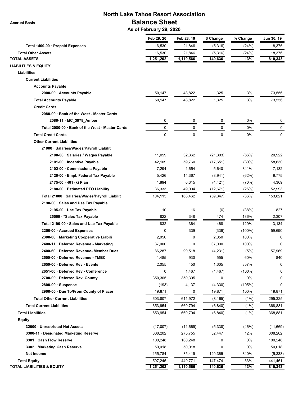**Accrual Basis**

## **North Lake Tahoe Resort Association Balance Sheet**

 **As of February 29, 2020**

|                                                 | Feb 29, 20  | Feb 28, 19  | \$ Change | % Change  | Jun 30, 19 |
|-------------------------------------------------|-------------|-------------|-----------|-----------|------------|
| Total 1400-00 · Prepaid Expenses                | 16,530      | 21,846      | (5,316)   | (24%)     | 18,376     |
| <b>Total Other Assets</b>                       | 16,530      | 21,846      | (5,316)   | (24%)     | 18,376     |
| <b>TOTAL ASSETS</b>                             | 1,251,202   | 1,110,566   | 140,636   | 13%       | 810,343    |
| <b>LIABILITIES &amp; EQUITY</b>                 |             |             |           |           |            |
| <b>Liabilities</b>                              |             |             |           |           |            |
| <b>Current Liabilities</b>                      |             |             |           |           |            |
| <b>Accounts Payable</b>                         |             |             |           |           |            |
| 2000-00 · Accounts Payable                      | 50,147      | 48,822      | 1,325     | 3%        | 73,556     |
| <b>Total Accounts Payable</b>                   | 50,147      | 48,822      | 1,325     | 3%        | 73,556     |
| <b>Credit Cards</b>                             |             |             |           |           |            |
| 2080-00 · Bank of the West - Master Cards       |             |             |           |           |            |
| 2080-11 · MC_3978_Amber                         | 0           | 0           | 0         | 0%        | 0          |
| Total 2080-00 · Bank of the West - Master Cards | 0           | 0           | 0         | 0%        | 0          |
| <b>Total Credit Cards</b>                       | $\mathbf 0$ | $\mathbf 0$ | $\Omega$  | 0%        | 0          |
| <b>Other Current Liabilities</b>                |             |             |           |           |            |
| 21000 · Salaries/Wages/Payroll Liabilit         |             |             |           |           |            |
| 2100-00 · Salaries / Wages Payable              | 11,059      | 32,362      | (21, 303) | (66%)     | 20,922     |
| 2101-00 · Incentive Payable                     | 42,109      | 59,760      | (17, 651) | (30%)     | 58,630     |
| 2102-00 · Commissions Payable                   | 7,294       | 1,654       | 5,640     | 341%      | 7,132      |
| 2120-00 · Empl. Federal Tax Payable             | 5,426       | 14,367      | (8,941)   | (62%)     | 9,775      |
| 2175-00 · 401 (k) Plan                          | 1,894       | 6,315       | (4, 421)  | (70%)     | 4,369      |
| 2180-00 · Estimated PTO Liability               | 36,333      | 49,004      | (12, 671) | (26%)     | 52,993     |
| Total 21000 · Salaries/Wages/Payroll Liabilit   | 104,115     | 163,462     | (59, 347) | (36%)     | 153,821    |
| 2190-00 · Sales and Use Tax Payable             |             |             |           |           |            |
| 2195-00 · Use Tax Payable                       | 10          | 16          | (6)       | (38%)     | 827        |
| 25500 · * Sales Tax Payable                     | 822         | 348         | 474       | 136%      | 2,307      |
| Total 2190-00 · Sales and Use Tax Payable       | 832         | 364         | 468       | 129%      | 3,134      |
| 2250-00 · Accrued Expenses                      | 0           | 339         | (339)     | $(100\%)$ | 59,690     |
| 2300-00 · Marketing Cooperative Liabili         | 2,050       | 0           | 2,050     | 100%      | 0          |
| 2400-11 · Deferred Revenue - Marketing          | 37,000      | $\mathbf 0$ | 37,000    | 100%      | 0          |
| 2400-60 · Deferred Revenue- Member Dues         | 86,287      | 90,518      | (4,231)   | (5%)      | 57,969     |
| 2500-00 · Deferred Revenue - TMBC               | 1,485       | 930         | 555       | 60%       | 840        |
| 2650-00 · Deferred Rev - Events                 | 2,055       | 450         | 1,605     | 357%      | 0          |
| 2651-00 · Deferred Rev - Conference             | 0           | 1,467       | (1, 467)  | $(100\%)$ | 0          |
| 2700-00 · Deferred Rev. County                  | 350,305     | 350,305     | 0         | 0%        | 0          |
| $2800-00 \cdot$ Suspense                        | (193)       | 4,137       | (4,330)   | (105%)    | $\Omega$   |
| 2900-00 · Due To/From County of Placer          | 19,871      | 0           | 19,871    | 100%      | 19,871     |
| <b>Total Other Current Liabilities</b>          | 603,807     | 611,972     | (8, 165)  | (1%)      | 295,325    |
| <b>Total Current Liabilities</b>                | 653,954     | 660,794     | (6, 840)  | (1%)      | 368,881    |
| <b>Total Liabilities</b>                        | 653,954     | 660,794     | (6, 840)  | (1%)      | 368,881    |
| <b>Equity</b>                                   |             |             |           |           |            |
| 32000 · Unrestricted Net Assets                 | (17,007)    | (11,669)    | (5,338)   | (46%)     | (11,669)   |
| 3300-11 · Designated Marketing Reserve          | 308,202     | 275,755     | 32,447    | 12%       | 308,202    |
| 3301 · Cash Flow Reserve                        | 100,248     | 100,248     | 0         | 0%        | 100,248    |
| 3302 · Marketing Cash Reserve                   | 50,018      | 50,018      | 0         | 0%        | 50,018     |
| <b>Net Income</b>                               | 155,784     | 35,419      | 120,365   | 340%      | (5, 338)   |
| <b>Total Equity</b>                             | 597,245     | 449,771     | 147,474   | 33%       | 441,461    |
| <b>TOTAL LIABILITIES &amp; EQUITY</b>           | 1,251,202   | 1,110,566   | 140,636   | 13%       | 810,343    |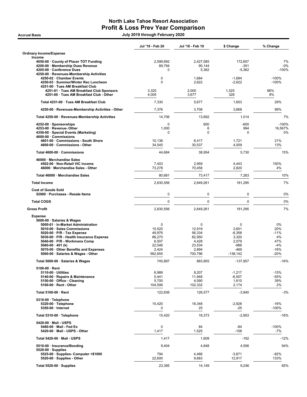### North Lake Tahoe Resort Association Profit & Loss Prev Year Comparison erred Basis Accrual Basis and the Second Second Second Second Second Second Second Second Second Second Second Second Second Second Second Second Second Second Second Second Second Second Second Second Second Second Second

|                                                                                                                                                                                                                                                                                               | Jul '19 - Feb 20                                                                 | Jul '18 - Feb 19                                                       | \$ Change                                                                            | % Change                                                      |
|-----------------------------------------------------------------------------------------------------------------------------------------------------------------------------------------------------------------------------------------------------------------------------------------------|----------------------------------------------------------------------------------|------------------------------------------------------------------------|--------------------------------------------------------------------------------------|---------------------------------------------------------------|
| <b>Ordinary Income/Expense</b><br>Income                                                                                                                                                                                                                                                      |                                                                                  |                                                                        |                                                                                      |                                                               |
| 4050-00 County of Placer TOT Funding<br>4200-00 · Membership Dues Revenue<br>4205-00 · Conference Dues                                                                                                                                                                                        | 2.599,692<br>89,794<br>0                                                         | 2,427,085<br>90,144<br>5,362                                           | 172,607<br>-351<br>$-5,362$                                                          | 7%<br>$-0%$<br>$-100%$                                        |
| 4250-00 · Revenues-Membership Activities<br>4250-02 · Chamber Events<br>4250-03 · Summer/Winter Rec Luncheon<br>4251-00 · Tues AM Breakfast Club                                                                                                                                              | 0<br>$\Omega$                                                                    | 1,684<br>2,622                                                         | $-1,684$<br>$-2,622$                                                                 | $-100%$<br>$-100%$                                            |
| 4251-01 · Tues AM Breakfast Club Sponsors<br>4251-00 · Tues AM Breakfast Club - Other                                                                                                                                                                                                         | 3,325<br>4,005                                                                   | 2,000<br>3,677                                                         | 1,325<br>328                                                                         | 66%<br>9%                                                     |
| Total 4251-00 · Tues AM Breakfast Club                                                                                                                                                                                                                                                        | 7,330                                                                            | 5.677                                                                  | 1,653                                                                                | 29%                                                           |
| 4250-00 · Revenues-Membership Activities - Other                                                                                                                                                                                                                                              | 7,376                                                                            | 3,708                                                                  | 3,668                                                                                | 99%                                                           |
| Total 4250-00 · Revenues-Membership Activities                                                                                                                                                                                                                                                | 14,706                                                                           | 13,692                                                                 | 1,014                                                                                | 7%                                                            |
| 4252-00 · Sponsorships<br>4253-00 · Revenue- Other<br>4350-00 · Special Events (Marketing)                                                                                                                                                                                                    | 0<br>1,000<br>0                                                                  | 600<br>6<br>$\mathbf 0$                                                | $-600$<br>994<br>0                                                                   | $-100%$<br>16.567%<br>0%                                      |
| 4600-00 · Commissions<br>4601-00 · Commissions - South Shore<br>4600-00 · Commissions - Other                                                                                                                                                                                                 | 10,138<br>34,545                                                                 | 8,417<br>30,537                                                        | 1,721<br>4,009                                                                       | 21%<br>13%                                                    |
| Total 4600-00 · Commissions                                                                                                                                                                                                                                                                   | 44,684                                                                           | 38,954                                                                 | 5,730                                                                                | 15%                                                           |
| 46000 · Merchandise Sales<br>4502-00 · Non-Retail VIC income<br>46000 · Merchandise Sales - Other                                                                                                                                                                                             | 7,403<br>73,278                                                                  | 2,959<br>70,458                                                        | 4,443<br>2,820                                                                       | 150%<br>4%                                                    |
| Total 46000 · Merchandise Sales                                                                                                                                                                                                                                                               | 80,681                                                                           | 73,417                                                                 | 7,263                                                                                | 10%                                                           |
| <b>Total Income</b>                                                                                                                                                                                                                                                                           | 2,830,556                                                                        | 2,649,261                                                              | 181,295                                                                              | 7%                                                            |
| <b>Cost of Goods Sold</b><br>52900 · Purchases - Resale Items                                                                                                                                                                                                                                 | 0                                                                                | $\pmb{0}$                                                              | 0                                                                                    | 0%                                                            |
| <b>Total COGS</b>                                                                                                                                                                                                                                                                             | 0                                                                                | $\mathbf 0$                                                            | $\Omega$                                                                             | 0%                                                            |
| <b>Gross Profit</b>                                                                                                                                                                                                                                                                           | 2,830,556                                                                        | 2,649,261                                                              | 181,295                                                                              | 7%                                                            |
| <b>Expense</b><br>5000-00 · Salaries & Wages                                                                                                                                                                                                                                                  |                                                                                  |                                                                        |                                                                                      |                                                               |
| 5000-01 · In-Market Administration<br>5010-00 · Sales Commissions<br>$5020-00 \cdot P/R$ - Tax Expense<br>5030-00 · P/R - Health Insurance Expense<br>5040-00 · P/R - Workmans Comp<br>5060-00 $\cdot$ 401 (k)<br>5070-00 · Other Benefits and Expenses<br>5000-00 · Salaries & Wages - Other | $\mathbf 0$<br>15,520<br>49,976<br>86,270<br>6,507<br>22,546<br>2,424<br>562,655 | 0<br>12,919<br>56,334<br>82,950<br>4,428<br>23,534<br>2,894<br>700,796 | $\mathbf 0$<br>2,601<br>$-6,358$<br>3,320<br>2,079<br>$-988$<br>$-469$<br>$-138,142$ | 0%<br>20%<br>$-11%$<br>4%<br>47%<br>$-4%$<br>$-16%$<br>$-20%$ |
| Total 5000-00 · Salaries & Wages                                                                                                                                                                                                                                                              | 745,897                                                                          | 883,855                                                                | $-137,957$                                                                           | $-16%$                                                        |
| 5100-00 · Rent<br>$5110-00 \cdot$ Utilities<br>5140-00 · Repairs & Maintenance<br>5150-00 · Office - Cleaning<br>$5100-00 \cdot$ Rent - Other                                                                                                                                                 | 6,989<br>5,441<br>5,700<br>104,506                                               | 8,207<br>11,948<br>4,090<br>102,332                                    | $-1,217$<br>$-6,507$<br>1,610<br>2,174                                               | $-15%$<br>-55%<br>39%<br>2%                                   |
| Total 5100-00 · Rent                                                                                                                                                                                                                                                                          | 122,636                                                                          | 126,577                                                                | $-3,940$                                                                             | $-3%$                                                         |
| 5310-00 · Telephone<br>5320-00 · Telephone<br>5350-00 · Internet                                                                                                                                                                                                                              | 15,420<br>0                                                                      | 18,348<br>25                                                           | $-2,928$<br>-25                                                                      | $-16%$<br>$-100%$                                             |
| Total 5310-00 · Telephone                                                                                                                                                                                                                                                                     | 15,420                                                                           | 18,373                                                                 | $-2,953$                                                                             | $-16%$                                                        |
| 5420-00 · Mail - USPS<br>5480-00 · Mail - Fed Ex<br>5420-00 · Mail - USPS - Other                                                                                                                                                                                                             | 0<br>1,417                                                                       | 84<br>1,525                                                            | -84<br>$-108$                                                                        | $-100%$<br>-7%                                                |
| Total 5420-00 · Mail - USPS                                                                                                                                                                                                                                                                   | 1,417                                                                            | 1,609                                                                  | $-192$                                                                               | $-12%$                                                        |
| 5510-00 · Insurance/Bonding<br>$5520-00 \cdot$ Supplies                                                                                                                                                                                                                                       | 9,404                                                                            | 4,848                                                                  | 4,556                                                                                | 94%                                                           |
| 5525-00 · Supplies- Computer <\$1000<br>5520-00 · Supplies - Other                                                                                                                                                                                                                            | 794<br>22,600                                                                    | 4,466<br>9,683                                                         | $-3,671$<br>12,917                                                                   | $-82%$<br>133%                                                |
| Total 5520-00 $\cdot$ Supplies                                                                                                                                                                                                                                                                | 23,395                                                                           | 14,149                                                                 | 9,246                                                                                | 65%                                                           |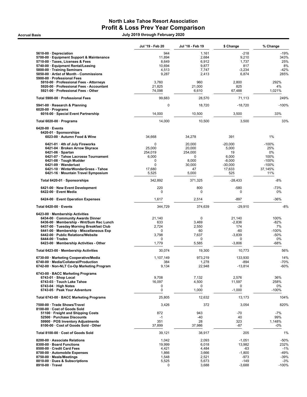### North Lake Tahoe Resort Association Profit & Loss Prev Year Comparison erred Basis Accrual Basis and the Second Second Second Second Second Second Second Second Second Second Second Second Second Second Second Second Second Second Second Second Second Second Second Second Second Second Second

|                                                                                     | Jul '19 - Feb 20 | Jul '18 - Feb 19   | \$ Change             | % Change       |
|-------------------------------------------------------------------------------------|------------------|--------------------|-----------------------|----------------|
| 5610-00 Depreciation                                                                | 944              | 1,161              | $-218$                | $-19%$         |
| 5700-00 · Equipment Support & Maintenance                                           | 11,894           | 2,684              | 9,210                 | 343%           |
| 5710-00 · Taxes, Licenses & Fees                                                    | 8,649            | 6,912              | 1,737                 | 25%            |
| 5740-00 · Equipment Rental/Leasing                                                  | 10,694           | 9,877              | 817                   | 8%             |
| 5800-00 · Training Seminars                                                         | 4,513            | 7,747              | $-3,234$              | $-42%$         |
| 5850-00 · Artist of Month - Commissions                                             | 9,287            | 2,413              | 6,874                 | 285%           |
| 5900-00 · Professional Fees                                                         |                  |                    |                       | 292%           |
| 5910-00 · Professional Fees - Attorneys<br>5920-00 · Professional Fees - Accountant | 3,760<br>21,825  | 960<br>21,000      | 2,800<br>825          | 4%             |
| 5921-00 · Professional Fees - Other                                                 | 74,098           | 6,610              | 67,488                | 1,021%         |
|                                                                                     |                  |                    |                       |                |
| Total 5900-00 · Professional Fees                                                   | 99,683           | 28,570             | 71,113                | 249%           |
| 5941-00 · Research & Planning<br>$6020-00 \cdot$ Programs                           | 0                | 18,720             | $-18,720$             | $-100%$        |
| 6016-00 · Special Event Partnership                                                 | 14,000           | 10,500             | 3,500                 | 33%            |
| Total 6020-00 · Programs                                                            | 14,000           | 10,500             | 3,500                 | 33%            |
| $6420-00 \cdot$ Events                                                              |                  |                    |                       |                |
| 6420-01 · Sponsorships                                                              |                  |                    |                       |                |
| 6023-00 · Autumn Food & Wine                                                        | 34,668           | 34,278             | 391                   | 1%             |
| 6421-01 · 4th of July Fireworks                                                     | $\Omega$         | 20,000             | $-20,000$             | $-100%$        |
| 6421-04 · Broken Arrow Skyrace                                                      | 25,000           | 20,000             | 5,000                 | 25%            |
| $6421-06 \cdot$ Spartan                                                             | 254,019          | 254,000            | 19                    | $0\%$          |
| 6421-07 · Tahoe Lacrosse Tournament                                                 | 6,000            | $\mathbf 0$        | 6,000                 | 100%           |
| 6421-08 · Tough Mudder                                                              | 0                | 8,000              | $-8,000$              | $-100%$        |
| 6421-09 · Wanderlust                                                                | 0                | 30,000             | $-30,000$             | $-100%$        |
| 6421-10 · WinterWonderGrass - Tahoe<br>6421-16 · Mountain Travel Symposium          | 17,680<br>5,525  | 47<br>5,000        | 17,633<br>525         | 37,145%<br>11% |
| Total 6420-01 · Sponsorships                                                        | 342,892          | 371,325            | $-28.433$             | $-8%$          |
|                                                                                     |                  |                    |                       |                |
| 6421-00 · New Event Development<br>6422-00 · Event Media                            | 220<br>0         | 800<br>$\mathbf 0$ | $-580$<br>$\mathbf 0$ | $-73%$<br>0%   |
| 6424-00 · Event Operation Expenses                                                  | 1,617            | 2,514              | -897                  | $-36%$         |
| Total $6420-00 \cdot$ Events                                                        | 344,729          | 374,639            | $-29,910$             | -8%            |
| 6423-00 · Membership Activities                                                     |                  |                    |                       |                |
| 6434-00 Community Awards Dinner                                                     | 21,140           | $\mathbf 0$        | 21,140                | 100%           |
| 6436-00 · Membership - Wnt/Sum Rec Lunch                                            | 633              | 3,469              | $-2,836$              | $-82%$         |
| 6437-00 · Tuesday Morning Breakfast Club                                            | 2,724            | 2,550              | 174                   | 7%             |
| 6441-00 · Membership - Miscellaneous Exp                                            | 0                | 60                 | -60                   | $-100%$        |
| 6442-00 · Public Relations/Website                                                  | 3,798            | 7,637              | $-3,839$              | $-50%$         |
| $6444-00 \cdot$ Trades                                                              | 0                | $\mathbf 0$        | 0                     | 0%             |
| 6423-00 · Membership Activities - Other                                             | 1,779            | 5,585              | $-3,806$              | $-68%$         |
| Total 6423-00 · Membership Activities                                               | 30,074           | 19,300             | 10,773                | 56%            |
| 6730-00 · Marketing Cooperative/Media                                               | 1,107,149        | 973,219            | 133,930               | 14%            |
| 6740-00 · Media/Collateral/Production                                               | 384              | 1,278              | $-894$                | $-70%$         |
| 6742-00 · Non-NLT Co-Op Marketing Program                                           | 9,134            | 22,948             | $-13,814$             | $-60%$         |
| 6743-00 · BACC Marketing Programs                                                   | 9,708            |                    |                       | 36%            |
| 6743-01 · Shop Local<br>6743-03 · Touch Lake Tahoe                                  | 16,097           | 7,132<br>4,500     | 2,576<br>11,597       | 258%           |
| $6743-04 \cdot$ High Notes                                                          | 0                | 0                  | $\mathbf 0$           | 0%             |
| 6743-05 · Peak Your Adventure                                                       | $\mathbf 0$      | 1,000              | $-1,000$              | $-100%$        |
| Total 6743-00 · BACC Marketing Programs                                             | 25,805           | 12,632             | 13,173                | 104%           |
| 7500-00 · Trade Shows/Travel                                                        | 3,426            | 372                | 3,054                 | 820%           |
| 8100-00 · Cost of Goods Sold                                                        |                  |                    |                       |                |
| 51100 · Freight and Shipping Costs                                                  | 872              | 943                | -70                   | $-7%$          |
| 52500 · Purchase Discounts<br>59900 · POS Inventory Adjustments                     | $-1$<br>351      | -40<br>28          | 40<br>323             | 99%<br>1,148%  |
| 8100-00 · Cost of Goods Sold - Other                                                | 37,899           | 37,986             | -87                   | $-0\%$         |
| Total 8100-00 · Cost of Goods Sold                                                  | 39,121           | 38,917             | 205                   | 1%             |
| 8200-00 Associate Relations                                                         | 1,042            | 2,093              | $-1,051$              | $-50%$         |
| 8300-00 · Board Functions                                                           | 19,999           | 6,018              | 13,982                | 232%           |
| 8500-00 · Credit Card Fees                                                          | 4,421            | 4,484              | $-63$                 | $-1%$          |
| 8700-00 · Automobile Expenses                                                       | 1,866            | 3,666              | $-1,800$              | $-49%$         |
| 8750-00 · Meals/Meetings                                                            | 1,548            | 2,521              | -973                  | $-39%$         |
| 8810-00 · Dues & Subscriptions                                                      | 5,525            | 5,673              | $-149$                | $-3%$          |
| 8910-00 · Travel                                                                    | 0                | 3,688              | $-3,688$              | $-100%$        |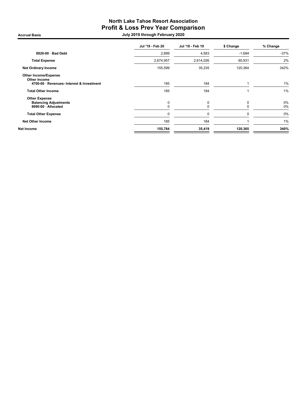### North Lake Tahoe Resort Association Profit & Loss Prev Year Comparison erred Basis Accrual Basis and the Second Second Second Second Second Second Second Second Second Second Second Second Second Second Second Second Second Second Second Second Second Second Second Second Second Second Second

|                                                                                                 | Jul '19 - Feb 20 | Jul '18 - Feb 19 | \$ Change | % Change |
|-------------------------------------------------------------------------------------------------|------------------|------------------|-----------|----------|
| $8920-00 \cdot$ Bad Debt                                                                        | 2,899            | 4,583            | $-1,684$  | $-37%$   |
| <b>Total Expense</b>                                                                            | 2,674,957        | 2,614,026        | 60,931    | 2%       |
| <b>Net Ordinary Income</b>                                                                      | 155,599          | 35,235           | 120,364   | 342%     |
| <b>Other Income/Expense</b><br><b>Other Income</b><br>4700-00 · Revenues- Interest & Investment | 185              | 184              |           | 1%       |
| <b>Total Other Income</b>                                                                       | 185              | 184              |           | 1%       |
| <b>Other Expense</b><br><b>Balancing Adjustments</b><br>8990-00 · Allocated                     | $\mathbf 0$      | 0<br>0           | 0         | 0%<br>0% |
| <b>Total Other Expense</b>                                                                      | 0                | 0                | 0         | 0%       |
| <b>Net Other Income</b>                                                                         | 185              | 184              |           | 1%       |
| Net Income                                                                                      | 155,784          | 35,419           | 120,365   | 340%     |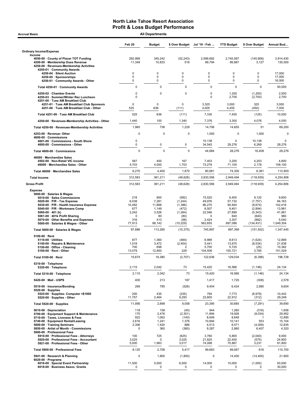| <b>Accrual Basis</b>                                                                                                                                                                                                                                                                                                                     | <b>All Departments</b>                                       |                                                                 |                                                                                |                                                                        |                                                                         |                                                                                     |                                                                             |
|------------------------------------------------------------------------------------------------------------------------------------------------------------------------------------------------------------------------------------------------------------------------------------------------------------------------------------------|--------------------------------------------------------------|-----------------------------------------------------------------|--------------------------------------------------------------------------------|------------------------------------------------------------------------|-------------------------------------------------------------------------|-------------------------------------------------------------------------------------|-----------------------------------------------------------------------------|
|                                                                                                                                                                                                                                                                                                                                          | Feb 20                                                       | <b>Budget</b>                                                   | \$ Over Budget                                                                 | Jul '19 Feb                                                            | <b>YTD Budget</b>                                                       | \$ Over Budget                                                                      | Annual Bud                                                                  |
| <b>Ordinary Income/Expense</b>                                                                                                                                                                                                                                                                                                           |                                                              |                                                                 |                                                                                |                                                                        |                                                                         |                                                                                     |                                                                             |
| Income<br>4050-00 County of Placer TOT Funding<br>4200-00 · Membership Dues Revenue<br>4250-00 · Revenues-Membership Activities<br>4250-01 · Community Awards                                                                                                                                                                            | 292,999<br>11,349                                            | 345,242<br>10,833                                               | (52, 243)<br>516                                                               | 2,599,692<br>89,794                                                    | 2,745,597<br>86,667                                                     | (145, 906)<br>3,127                                                                 | 3,914,430<br>130,000                                                        |
| 4250-04 · Silent Auction<br>4250-05 · Sponsorships<br>4250-01 · Community Awards - Other                                                                                                                                                                                                                                                 | $\mathbf 0$<br>0<br>0                                        | 0<br>0<br>0                                                     | $\mathbf 0$<br>0<br>$\mathbf 0$                                                | 0<br>0<br>0                                                            | 0<br>0<br>0                                                             | 0<br>0<br>0                                                                         | 17,000<br>17,000<br>16,000                                                  |
| Total 4250-01 · Community Awards                                                                                                                                                                                                                                                                                                         | $\mathbf 0$                                                  | $\mathbf 0$                                                     | $\mathbf 0$                                                                    | $\mathbf 0$                                                            | $\mathbf 0$                                                             | $\mathbf 0$                                                                         | 50,000                                                                      |
| 4250-02 · Chamber Events<br>4250-03 · Summer/Winter Rec Luncheon<br>4251-00 · Tues AM Breakfast Club                                                                                                                                                                                                                                     | 0<br>$\mathbf 0$                                             | 0                                                               | 0                                                                              | 0<br>0                                                                 | 1,200<br>2,700                                                          | (1,200)<br>(2,700)                                                                  | 2,500<br>2,700                                                              |
| 4251-01 · Tues AM Breakfast Club Sponsors<br>4251-00 · Tues AM Breakfast Club - Other                                                                                                                                                                                                                                                    | $\mathbf 0$<br>525                                           | $\mathbf 0$<br>636                                              | $\Omega$<br>(111)                                                              | 3,325<br>4,005                                                         | 3,000<br>4,455                                                          | 325<br>(450)                                                                        | 3,000<br>7,000                                                              |
| Total 4251-00 · Tues AM Breakfast Club                                                                                                                                                                                                                                                                                                   | 525                                                          | 636                                                             | (111)                                                                          | 7,330                                                                  | 7,455                                                                   | (125)                                                                               | 10,000                                                                      |
| 4250-00 · Revenues-Membership Activities - Other                                                                                                                                                                                                                                                                                         | 1,440                                                        | 100                                                             | 1,340                                                                          | 7,376                                                                  | 3,300                                                                   | 4,076                                                                               | 4,000                                                                       |
| Total 4250-00 · Revenues-Membership Activities                                                                                                                                                                                                                                                                                           | 1,965                                                        | 736                                                             | 1,229                                                                          | 14,706                                                                 | 14,655                                                                  | 51                                                                                  | 69,200                                                                      |
| 4253-00 · Revenue-Other<br>4600-00 Commissions<br>4601-00 Commissions - South Shore                                                                                                                                                                                                                                                      | $\Omega$<br>$\pmb{0}$                                        | $\Omega$                                                        | $\Omega$                                                                       | 1,000<br>10,138                                                        | 0<br>$\mathbf 0$                                                        | 1,000<br>10,138                                                                     | $\mathbf 0$<br>$\mathbf 0$                                                  |
| 4600-00 · Commissions - Other                                                                                                                                                                                                                                                                                                            | $\pmb{0}$                                                    | 0                                                               | 0                                                                              | 34,545                                                                 | 28,276                                                                  | 6,269                                                                               | 28,276                                                                      |
| Total 4600-00 · Commissions                                                                                                                                                                                                                                                                                                              | $\mathbf 0$                                                  | $\Omega$                                                        | $\mathbf 0$                                                                    | 44,684                                                                 | 28,276                                                                  | 16,408                                                                              | 28,276                                                                      |
| 46000 · Merchandise Sales<br>4502-00 · Non-Retail VIC income<br>46000 · Merchandise Sales - Other                                                                                                                                                                                                                                        | 567<br>5,703                                                 | 400<br>4,000                                                    | 167<br>1,703                                                                   | 7,403<br>73,278                                                        | 3,200<br>71,100                                                         | 4,203<br>2,178                                                                      | 4,800<br>108,100                                                            |
| Total 46000 · Merchandise Sales                                                                                                                                                                                                                                                                                                          | 6,270                                                        | 4,400                                                           | 1,870                                                                          | 80,681                                                                 | 74,300                                                                  | 6,381                                                                               | 112,900                                                                     |
| <b>Total Income</b>                                                                                                                                                                                                                                                                                                                      | 312,583                                                      | 361,211                                                         | (48, 628)                                                                      | 2,830,556                                                              | 2,949,494                                                               | (118, 939)                                                                          | 4,254,806                                                                   |
| <b>Gross Profit</b>                                                                                                                                                                                                                                                                                                                      | 312,583                                                      | 361,211                                                         | (48, 628)                                                                      | 2,830,556                                                              | 2,949,494                                                               | (118,939)                                                                           | 4,254,806                                                                   |
| <b>Expense</b><br>5000-00 · Salaries & Wages<br>5010-00 · Sales Commissions<br>5020-00 $\cdot$ P/R - Tax Expense<br>5030-00 · P/R - Health Insurance Expense<br>5040-00 · P/R - Workmans Comp<br>5060-00 $\cdot$ 401 (k)<br>5061-00 · 401k Profit Sharing<br>5070-00 · Other Benefits and Expenses<br>5000-00 · Salaries & Wages - Other | 218<br>6,038<br>10,482<br>677<br>2,242<br>0<br>316<br>77,913 | 800<br>7,281<br>11,868<br>1,149<br>3,526<br>80<br>413<br>88,142 | (582)<br>(1, 244)<br>(1,386)<br>(472)<br>(1, 284)<br>(80)<br>(98)<br>(10, 229) | 15,520<br>49,976<br>86,270<br>6,507<br>22,546<br>0<br>2,424<br>562,655 | 6,400<br>57,732<br>94,944<br>9,401<br>27,889<br>640<br>3,307<br>697,086 | 9,120<br>(7, 757)<br>(8,674)<br>(2,894)<br>(5, 343)<br>(640)<br>(882)<br>(134, 431) | 9,600<br>84,163<br>142,416<br>13,981<br>41,981<br>960<br>5,040<br>1.049.304 |
| Total 5000-00 · Salaries & Wages                                                                                                                                                                                                                                                                                                         | 97,886                                                       | 113,260                                                         | (15, 375)                                                                      | 745,897                                                                | 897,399                                                                 | (151, 502)                                                                          | 1,347,445                                                                   |
| $5100-00 \cdot$ Rent<br>$5110-00 \cdot$ Utilities<br>5140-00 · Repairs & Maintenance<br>5150-00 · Office - Cleaning<br>5100-00 · Rent - Other                                                                                                                                                                                            | 877<br>1,018<br>700<br>13,079                                | 1,360<br>3,472<br>698<br>12,850                                 | (484)<br>(2, 454)<br>$\overline{2}$<br>229                                     | 6,989<br>5,441<br>5,700<br>104,506                                     | 8,613<br>13,975<br>5,725<br>100,721                                     | (1,624)<br>(8, 534)<br>(25)<br>3,785                                                | 12,899<br>21,938<br>10,362<br>151,529                                       |
| Total 5100-00 · Rent                                                                                                                                                                                                                                                                                                                     | 15,674                                                       | 18,380                                                          | (2,707)                                                                        | 122,636                                                                | 129,034                                                                 | (6, 398)                                                                            | 196,728                                                                     |
| 5310-00 · Telephone<br>5320-00 · Telephone                                                                                                                                                                                                                                                                                               | 2,115                                                        | 2,042                                                           | 73                                                                             | 15,420                                                                 | 16,566                                                                  | (1, 146)                                                                            | 24,134                                                                      |
| Total 5310-00 · Telephone                                                                                                                                                                                                                                                                                                                | 2,115                                                        | 2,042                                                           | 73                                                                             | 15,420                                                                 | 16,566                                                                  | (1, 146)                                                                            | 24,134                                                                      |
| 5420-00 · Mail - USPS                                                                                                                                                                                                                                                                                                                    | 400                                                          | 213                                                             | 187                                                                            | 1,417                                                                  | 1,725                                                                   | (308)                                                                               | 2,578                                                                       |
| 5510-00 · Insurance/Bonding<br>$5520-00 \cdot$ Supplies<br>5525-00 · Supplies- Computer <\$1000<br>5520-00 · Supplies - Other                                                                                                                                                                                                            | 269<br>200<br>11,757                                         | 795<br>435<br>2,464                                             | (526)<br>(235)<br>9,293                                                        | 9,404<br>794<br>22,600                                                 | 6,424<br>7,773<br>22,912                                                | 2,980<br>(6,979)<br>(312)                                                           | 9,604<br>10,442<br>29,248                                                   |
| Total 5520-00 · Supplies                                                                                                                                                                                                                                                                                                                 | 11,956                                                       | 2,898                                                           | 9,058                                                                          | 23,395                                                                 | 30,685                                                                  | (7, 291)                                                                            | 39,690                                                                      |
| 5610-00 · Depreciation                                                                                                                                                                                                                                                                                                                   | 118                                                          | 158                                                             | (40)                                                                           | 944                                                                    | 1,260                                                                   | (316)                                                                               | 1,656                                                                       |
| 5700-00 · Equipment Support & Maintenance<br>5710-00 · Taxes, Licenses & Fees<br>5740-00 · Equipment Rental/Leasing<br>5800-00 · Training Seminars<br>5850-00 · Artist of Month - Commissions<br>5900-00 · Professional Fees                                                                                                             | 175<br>922<br>2,616<br>2,306<br>$\Omega$                     | 2,476<br>1,062<br>1,241<br>1,420<br>360                         | (2, 301)<br>(140)<br>1,376<br>886<br>(360)                                     | 11,894<br>8,649<br>10,694<br>4,513<br>9,287                            | 19,928<br>8,648<br>10,141<br>8,571<br>2,880                             | (8,034)<br>553<br>(4,059)<br>6,407                                                  | 29,952<br>12,895<br>15,104<br>12,835<br>4,320                               |
| 5910-00 · Professional Fees - Attorneys<br>5920-00 · Professional Fees - Accountant<br>5921-00 · Professional Fees - Other                                                                                                                                                                                                               | 100<br>3,025<br>5,000                                        | 725<br>0<br>1,983                                               | (625)<br>3,025<br>3,017                                                        | 3,760<br>21,825<br>74,098                                              | 5,800<br>22,400<br>70,867                                               | (2,040)<br>(575)<br>3,231                                                           | 9,000<br>24,900<br>81,800                                                   |
| Total 5900-00 · Professional Fees                                                                                                                                                                                                                                                                                                        | 8,125                                                        | 2,708                                                           | 5,417                                                                          | 99,683                                                                 | 99,067                                                                  | 616                                                                                 | 115,700                                                                     |
| 5941-00 · Research & Planning                                                                                                                                                                                                                                                                                                            | $\mathbf 0$                                                  | 1,800                                                           | (1,800)                                                                        | 0                                                                      | 14,400                                                                  | (14, 400)                                                                           | 21,600                                                                      |
| $6020-00 \cdot$ Programs<br>6016-00 · Special Event Partnership<br>6018-00 · Business Assoc. Grants                                                                                                                                                                                                                                      | 11,500<br>0                                                  | 5,000<br>0                                                      | 6,500<br>0                                                                     | 14,000<br>0                                                            | 15,000<br>0                                                             | (1,000)<br>0                                                                        | 50,000<br>30,000                                                            |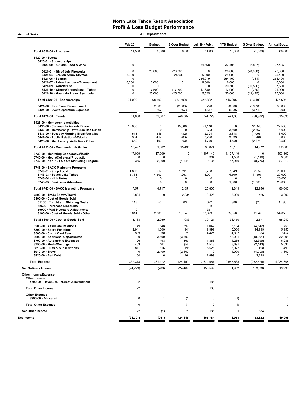Accrual Basis **Accrual Basis All Departments** 

|                                                                                | Feb <sub>20</sub>  | <b>Budget</b>              | \$ Over Budget             | Jul '19 - Feb     | <b>YTD Budget</b>  | \$ Over Budget        | Annual Bud         |
|--------------------------------------------------------------------------------|--------------------|----------------------------|----------------------------|-------------------|--------------------|-----------------------|--------------------|
| Total 6020-00 · Programs                                                       | 11,500             | 5,000                      | 6,500                      | 14,000            | 15,000             | (1,000)               | 80,000             |
| 6420-00 · Events                                                               |                    |                            |                            |                   |                    |                       |                    |
| 6420-01 · Sponsorships<br>6023-00 · Autumn Food & Wine                         | $\mathbf 0$        |                            |                            | 34,668            | 37,495             | (2,827)               | 37,495             |
| 6421-01 · 4th of July Fireworks                                                | $\mathbf 0$        | 20,000                     | (20,000)                   | $\mathbf 0$       | 20,000             | (20,000)              | 20,000             |
| 6421-04 · Broken Arrow Skyrace<br>$6421-06 \cdot$ Spartan                      | 25,000<br>$\Omega$ | 0                          | 25,000                     | 25,000<br>254,019 | 25,000<br>254,400  | 0<br>(381)            | 25,400<br>254,400  |
| 6421-07 · Tahoe Lacrosse Tournament                                            | 6,000              | 6,000                      | 0                          | 6,000             | 6,000              | $\Omega$              | 6,000              |
| 6421-09 · Wanderlust                                                           | $\mathbf 0$        | $\Omega$                   | $\Omega$                   | $\mathbf 0$       | 30,500             | (30, 500)             | 37,500             |
| 6421-10 · WinterWonderGrass - Tahoe<br>6421-16 · Mountain Travel Symposium     | 0<br>$\mathbf 0$   | 17,500<br>25,000           | (17,500)<br>(25,000)       | 17,680<br>5,525   | 17,900<br>25,000   | (220)<br>(19, 475)    | 21,900<br>75,000   |
| Total 6420-01 · Sponsorships                                                   | 31,000             | 68,500                     | (37, 500)                  | 342,892           | 416,295            | (73, 403)             | 477,695            |
| 6421-00 · New Event Development<br>6424-00 · Event Operation Expenses          | 0<br>0             | 2,500<br>667               | (2,500)<br>(667)           | 220<br>1,617      | 20,000<br>5,336    | (19,780)<br>(3,719)   | 30,000<br>8,000    |
| Total 6420-00 · Events                                                         | 31,000             | 71,667                     | (40, 667)                  | 344,729           | 441,631            | (96, 902)             | 515,695            |
| 6423-00 · Membership Activities                                                |                    |                            |                            |                   |                    |                       |                    |
| 6434-00 · Community Awards Dinner<br>6436-00 · Membership - Wnt/Sum Rec Lunch  | 15,000<br>0        | $\mathbf 0$<br>$\mathbf 0$ | 15,000<br>$\mathbf 0$      | 21,140<br>633     | 0<br>3,500         | 21,140<br>(2,867)     | 27,500<br>5,000    |
| 6437-00 · Tuesday Morning Breakfast Club                                       | 513                | 545                        | (32)                       | 2,724             | 3,818              | (1,095)               | 6,000              |
| 6442-00 · Public Relations/Website                                             | 334                | 417                        | (83)                       | 3,798             | 3,333              | 464                   | 5,000              |
| 6423-00 · Membership Activities - Other                                        | 650                | 100                        | 550                        | 1,779             | 4,450              | (2,671)               | 8,500              |
| Total 6423-00 · Membership Activities<br>6730-00 · Marketing Cooperative/Media | 16,497             | 1,062                      | 15,435                     | 30,074            | 15,101             | 14,972<br>$\mathbf 0$ | 52,000             |
| 6740-00 · Media/Collateral/Production                                          | 117,009<br>0       | 117,009<br>$\mathbf 0$     | 0<br>0                     | 1,107,149<br>384  | 1,107,149<br>1,500 | (1, 116)              | 1,503,362<br>3,000 |
| 6742-00 · Non-NLT Co-Op Marketing Program                                      | 355                | 2,000                      | (1,645)                    | 9,134             | 17,910             | (8,776)               | 27,910             |
| 6743-00 · BACC Marketing Programs<br>6743 01 · Shop Local                      | 1,808              | 217                        | 1,591                      | 9,708             | 7,349              | 2,359                 | 20,000             |
| 6743-03 · Touch Lake Tahoe                                                     | 5,763              | 4,500                      | 1,263                      | 16,097            | 4,500              | 11,597                | 20,000             |
| 6743-04 · High Notes<br>6743-05 · Peak Your Adventure                          | 0<br>0             | 0<br>0                     | $\mathbf 0$<br>$\mathbf 0$ | 0<br>$\mathbf 0$  | 0<br>1,000         | $\Omega$<br>(1,000)   | 20,000<br>20,000   |
| Total 6743-00 · BACC Marketing Programs                                        | 7,571              | 4,717                      | 2,854                      | 25,805            | 12,849             | 12,956                | 80,000             |
| 7500-00 · Trade Shows/Travel                                                   | 2,834              | $\mathbf 0$                | 2,834                      | 3,426             | 3,000              | 426                   | 3,000              |
| 8100-00 · Cost of Goods Sold<br>51100 · Freight and Shipping Costs             | 119                | 50                         | 69                         | 872               | 900                | (28)                  | 1,190              |
| 52500 · Purchase Discounts                                                     | 0                  |                            |                            | (1)               |                    |                       |                    |
| 59900 · POS Inventory Adjustments<br>8100-00 · Cost of Goods Sold - Other      | 0<br>3,014         | 2,000                      | 1,014                      | 351<br>37,899     | 35,550             | 2,349                 | 54,050             |
| Total 8100-00 · Cost of Goods Sold                                             | 3,133              | 2,050                      | 1,083                      | 39,121            | 36,450             | 2,671                 | 55,240             |
| 8200-00 · Associate Relations                                                  | 49                 | 648                        | (599)                      | 1,042             | 5,184              | (4, 142)              | 7,756              |
| 8300-00 · Board Functions                                                      | 2,941              | 1,000                      | 1,941                      | 19,999            | 5,000              | 14,999                | 5,950              |
| 8500-00 · Credit Card Fees                                                     | 359                | 336                        | 23                         | 4,421             | 4,057              | 364                   | 7,454              |
| 8600-00 · Additional Opportunites<br>8700-00 · Automobile Expenses             | $\mathbf 0$<br>126 | 3,500<br>493               | (3,500)<br>(367)           | $\Omega$<br>1,866 | 18,091<br>4,265    | (18,091)<br>(2,399)   | 32,091<br>6,285    |
| 8750-00 · Meals/Meetings                                                       | 403                | 461                        | (58)                       | 1,548             | 3,691              | (2, 143)              | 5,534              |
| 8810-00 · Dues & Subscriptions                                                 | 811                | 616                        | 195                        | 5,525             | 5,027              | 498                   | 7,490              |
| 8910-00 · Travel<br>8920-00 · Bad Debt                                         | $\mathbf 0$<br>164 | 2,100<br>0                 | (2, 100)<br>164            | $\Omega$<br>2,899 | 4,900<br>0         | (4,900)<br>2,899      | 7,800<br>0         |
| <b>Total Expense</b>                                                           | 337,313            | 361,472                    | (24, 159)                  | 2,674,957         | 2,947,533          | (272, 576)            | 4,234,808          |
| <b>Net Ordinary Income</b>                                                     | (24, 729)          | (260)                      | (24, 469)                  | 155,599           | 1,962              | 153,638               | 19,998             |
| <b>Other Income/Expense</b><br>Other Income                                    |                    |                            |                            |                   |                    |                       |                    |
| 4700-00 · Revenues- Interest & Investment                                      | 22                 |                            |                            | 185               |                    |                       |                    |
| <b>Total Other Income</b>                                                      | 22                 |                            |                            | 185               |                    |                       |                    |
| <b>Other Expense</b><br>8990-00 · Allocated                                    | 0                  | $\mathbf{1}$               | (1)                        | 0                 | (1)                | 1                     | $\Omega$           |
| <b>Total Other Expense</b>                                                     | 0                  | $\mathbf{1}$               | (1)                        | 0                 | (1)                | $\mathbf{1}$          | 0                  |
| <b>Net Other Income</b>                                                        | 22                 | (1)                        | 23                         | 185               | $\overline{1}$     | 184                   | $\mathbf 0$        |
| Net Income                                                                     | (24,707)           | (261)                      | (24, 446)                  | 155,784           | 1,963              | 153,822               | 19,998             |
|                                                                                |                    |                            |                            |                   |                    |                       |                    |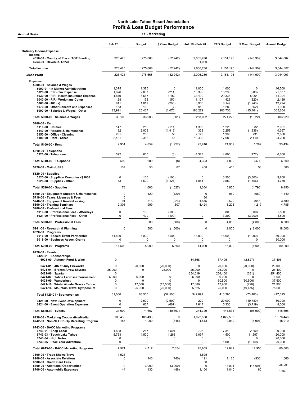| 11 - Marketing<br><b>Accrual Basis</b>                                                                                                                              |                           |                              |                              |                                 |                                   |                               |                                   |  |
|---------------------------------------------------------------------------------------------------------------------------------------------------------------------|---------------------------|------------------------------|------------------------------|---------------------------------|-----------------------------------|-------------------------------|-----------------------------------|--|
|                                                                                                                                                                     | Feb 20                    | <b>Budget</b>                | \$ Over Budget               | Jul '19 - Feb 20                | <b>YTD Budget</b>                 | \$ Over Budget                | <b>Annual Budget</b>              |  |
| <b>Ordinary Income/Expense</b>                                                                                                                                      |                           |                              |                              |                                 |                                   |                               |                                   |  |
| Income<br>4050-00 County of Placer TOT Funding<br>4253-00 · Revenue- Other                                                                                          | 223,425<br>$\Omega$       | 275,668                      | (52, 242)                    | 2,005,286<br>1,000              | 2,151,195                         | (145,909)                     | 3,044,007                         |  |
| <b>Total Income</b>                                                                                                                                                 | 223,425                   | 275,668                      | (52, 242)                    | 2,006,286                       | 2,151,195                         | (144, 909)                    | 3,044,007                         |  |
| <b>Gross Profit</b>                                                                                                                                                 | 223,425                   | 275,668                      | (52, 242)                    | 2,006,286                       | 2,151,195                         | (144, 909)                    | 3,044,007                         |  |
| <b>Expense</b><br>5000-00 · Salaries & Wages<br>5000-01 · In-Market Administration<br>$5020-00 \cdot P/R$ - Tax Expense<br>5030-00 · P/R - Health Insurance Expense | 1,375<br>1,826<br>4,819   | 1,375<br>2,037<br>3,667      | 0<br>(211)<br>1,152          | 11,000<br>15,399<br>34,400      | 11,000<br>16,299<br>29,336        | 0<br>(900)<br>5,064           | 16,500<br>21,537<br>44,004        |  |
| 5040-00 · P/R - Workmans Comp<br>5060-00 $\cdot$ 401 (k)                                                                                                            | 128<br>811                | 178<br>1,019                 | (50)<br>(208)                | 1,107<br>6,906                  | 1,426<br>8,149                    | (320)<br>(1, 243)             | 2,139<br>12,224                   |  |
| 5070-00 · Other Benefits and Expenses                                                                                                                               | 153                       | 160                          | (7)                          | 918                             | 1,280                             | (362)                         | 1,920                             |  |
| 5000-00 · Salaries & Wages - Other                                                                                                                                  | 23,991                    | 25,467                       | (1, 476)                     | 188,272                         | 203,736                           | (15, 464)                     | 305,604                           |  |
| Total 5000-00 · Salaries & Wages                                                                                                                                    | 33,103                    | 33,903                       | (801)                        | 258,002                         | 271,226                           | (13, 224)                     | 403,929                           |  |
| $5100-00 \cdot$ Rent<br>5110-00 · Utilities<br>5140-00 · Repairs & Maintenance<br>5150-00 · Office - Cleaning<br>5100-00 · Rent - Other                             | 147<br>92<br>261<br>2,431 | 258<br>2,009<br>206<br>2,386 | (111)<br>(1,916)<br>55<br>45 | 1,305<br>323<br>2,128<br>19,490 | 1,223<br>2,259<br>1,398<br>17,080 | 82<br>(1,936)<br>731<br>2,410 | 2,001<br>4,367<br>2,866<br>24,200 |  |
| Total 5100-00 · Rent                                                                                                                                                | 2,931                     | 4,859                        | (1, 927)                     | 23,246                          | 21,959                            | 1,287                         | 33,434                            |  |
| 5310-00 · Telephone<br>5320-00 · Telephone                                                                                                                          | 592                       | 600                          | (8)                          | 4,323                           | 4,800                             | (477)                         | 6,600                             |  |
| Total 5310-00 · Telephone                                                                                                                                           | 592                       | 600                          | (8)                          | 4,323                           | 4,800                             | (477)                         | 6,600                             |  |
| 5420-00 · Mail - USPS                                                                                                                                               | 137                       | 50                           | 87                           | 458                             | 400                               | 58                            | 600                               |  |
| $5520-00 \cdot$ Supplies<br>5525-00 · Supplies- Computer <\$1000<br>5520-00 · Supplies - Other                                                                      | $\mathbf 0$<br>73         | 100<br>1,500                 | (100)<br>(1, 427)            | $\Omega$<br>1,054               | 3,300<br>2,550                    | (3,300)<br>(1, 496)           | 3,700<br>4,750                    |  |
| Total 5520-00 · Supplies                                                                                                                                            | 73                        | 1,600                        | (1, 527)                     | 1,054                           | 5,850                             | (4,796)                       | 8,450                             |  |
| 5700-00 · Equipment Support & Maintenance<br>5710-00 · Taxes, Licenses & Fees                                                                                       | $\mathbf 0$<br>$\Omega$   | 120                          | (120)                        | $\mathbf 0$<br>60               | 960                               | (960)                         | 1,440                             |  |
| 5740-00 · Equipment Rental/Leasing<br>5800-00 · Training Seminars                                                                                                   | 91<br>2,306               | 315<br>999                   | (224)<br>1,307               | 1,575<br>4,424                  | 2,520<br>3,205                    | (945)<br>1,219                | 3,780<br>4,785                    |  |
| 5900-00 · Professional Fees<br>5910-00 · Professional Fees - Attorneys<br>5921-00 · Professional Fees - Other                                                       | 0<br>0                    | 100<br>400                   | (100)<br>(400)               | 0<br>0                          | 800<br>3,200                      | (800)<br>(3, 200)             | 1,500<br>4,800                    |  |
| Total 5900-00 · Professional Fees                                                                                                                                   | 0                         | 500                          | (500)                        | $\Omega$                        | 4,000                             | (4,000)                       | 6,300                             |  |
| 5941-00 · Research & Planning                                                                                                                                       | 0                         | 1,500                        | (1,500)                      | $\mathbf 0$                     | 12,000                            | (12,000)                      | 18,000                            |  |
| $6020-00 \cdot$ Programs<br>6016-00 · Special Event Partnership<br>6018-00 · Business Assoc. Grants                                                                 | 11,500<br>0               | 5,000<br>0                   | 6,500<br>0                   | 14,000<br>$\Omega$              | 15,000<br>0                       | (1,000)<br>0                  | 50,000<br>30,000                  |  |
| Total 6020-00 · Programs                                                                                                                                            | 11,500                    | 5,000                        | 6,500                        | 14,000                          | 15,000                            | (1,000)                       | 80,000                            |  |
| $6420-00$ · Events<br>6420-01 · Sponsorships<br>6023-00 · Autumn Food & Wine                                                                                        | 0                         |                              |                              | 34,668                          | 37,495                            | (2,827)                       | 37,495                            |  |
| 6421-01 · 4th of July Fireworks<br>6421-04 · Broken Arrow Skyrace                                                                                                   | 0<br>25,000               | 20,000<br>0                  | (20,000)<br>25,000           | $\Omega$<br>25,000              | 20,000<br>25,000                  | (20,000)<br>0                 | 20,000<br>25,400                  |  |
| $6421-06 \cdot$ Spartan<br>6421-07 · Tahoe Lacrosse Tournament                                                                                                      | 0<br>6,000                | 6,000                        | $\mathbf 0$                  | 254,019<br>6,000                | 254,400<br>6,000                  | (381)                         | 254,400<br>6,000                  |  |
| 6421-09 · Wanderlust<br>6421-10 · WinterWonderGrass - Tahoe                                                                                                         | 0<br>0                    | 0<br>17,500                  | O<br>(17, 500)               | 0<br>17,680                     | 30,500<br>17,900                  | (30, 500)<br>(220)            | 37,500<br>21,900                  |  |
| 6421-16 · Mountain Travel Symposium                                                                                                                                 | 0                         | 25,000                       | (25,000)                     | 5,525                           | 25,000                            | (19, 475)                     | 75,000                            |  |
| Total 6420-01 · Sponsorships                                                                                                                                        | 31,000                    | 68,500                       | (37,500)                     | 342,892                         | 416,295                           | (73, 403)                     | 477,695                           |  |
| 6421-00 · New Event Development<br>6424-00 · Event Operation Expenses                                                                                               | 0<br>0                    | 2,500<br>667                 | (2,500)<br>(667)             | 220<br>1,617                    | 20,000<br>5,336                   | (19,780)<br>(3,719)           | 30,000<br>8,000                   |  |
| Total 6420-00 · Events                                                                                                                                              | 31,000                    | 71,667                       | (40, 667)                    | 344,729                         | 441,631                           | (96, 902)                     | 515,695                           |  |
| 6730-00 · Marketing Cooperative/Media<br>6742-00 · Non-NLT Co-Op Marketing Program                                                                                  | 106,433<br>155            | 106,433<br>1,000             | $\mathbf 0$<br>(845)         | 1,022,538<br>4,813              | 1,022,538<br>9,910                | 0<br>(5,097)                  | 1,376,446<br>15,910               |  |
| 6743-00 · BACC Marketing Programs<br>6743-01 · Shop Local                                                                                                           | 1,808                     | 217                          | 1,591                        | 9,708                           | 7,349                             | 2,359                         | 20,000                            |  |
| 6743-03 · Touch Lake Tahoe                                                                                                                                          | 5,763                     | 4,500                        | 1,263                        | 16,097                          | 4,500                             | 11,597                        | 20,000                            |  |
| $6743-04 \cdot$ High Notes<br>6743-05 · Peak Your Adventure                                                                                                         | 0<br>0                    | $\pmb{0}$<br>0               | 0<br>0                       | 0<br>0                          | 0<br>1,000                        | 0<br>(1,000)                  | 20,000<br>20,000                  |  |
| Total 6743-00 · BACC Marketing Programs                                                                                                                             | 7,571                     | 4,717                        | 2,854                        | 25,805                          | 12,849                            | 12,956                        | 80,000                            |  |
| 7500-00 · Trade Shows/Travel<br>8200-00 · Associate Relations                                                                                                       | 1,525<br>0                | 140                          | (140)                        | 1,525<br>191                    | 1,120                             | (930)                         | 1,660                             |  |
| 8500-00 · Credit Card Fees<br>8600-00 · Additional Opportunites<br>8700-00 · Automobile Expenses                                                                    | 0<br>0<br>44              | 3,000<br>130                 | (3,000)<br>(86)              | 50<br>0<br>1,100                | 14,091<br>1,040                   | (14,091)<br>60                | 26,091                            |  |
|                                                                                                                                                                     |                           |                              |                              |                                 |                                   |                               | 1,560                             |  |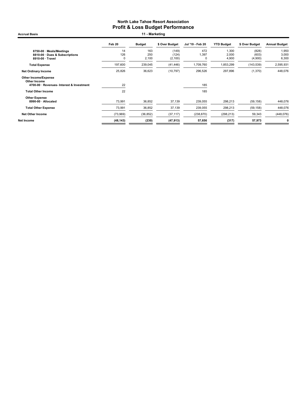Feb 20 Budget \$ Over Budget Jul '19 - Feb 20 YTD Budget \$ Over Budget Annual Budget 8750-00 · Meals/Meetings 14 163 (149) 472 1,300 (828) 1,950 8810-00 · Dues & Subscriptions 126 250 (124) 1,397 2,000 (603) 3,000 8910-00 · Travel 0 2,100 (2,100) 0 4,900 (4,900) 6,300 Total Expense 197,600 239,045 (41,446) 1,709,760 1,853,299 (143,539) 2,595,931 Net Ordinary Income 25,826 36,623 (10,797) 296,526 297,896 (1,370) 448,076 Accrual Basis **11 - Marketing** 

| Net Income                                                                               | (48, 143) | (230)     | (47, 913) | 57,656     | (317)      | 57.973    | 0          |
|------------------------------------------------------------------------------------------|-----------|-----------|-----------|------------|------------|-----------|------------|
| <b>Net Other Income</b>                                                                  | (73,969)  | (36, 852) | (37, 117) | (238, 870) | (298, 213) | 59,343    | (448, 076) |
| <b>Total Other Expense</b>                                                               | 73.991    | 36.852    | 37.139    | 239,055    | 298,213    | (59, 158) | 448.076    |
| <b>Other Expense</b><br>8990-00 · Allocated                                              | 73.991    | 36.852    | 37,139    | 239,055    | 298.213    | (59, 158) | 448.076    |
| <b>Total Other Income</b>                                                                | 22        |           |           | 185        |            |           |            |
| <b>Other Income/Expense</b><br>Other Income<br>4700-00 · Revenues- Interest & Investment | 22        |           |           | 185        |            |           |            |
|                                                                                          |           |           |           |            |            |           |            |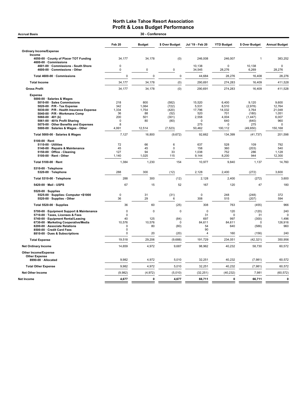| <b>Accrual Basis</b>                                                                                                                                                                                                                                                                                                                                                                                                                                                                                        |                                                                                                 | 30 - Conference                                                                         |                                                                                                          |                                                                                                                  |                                                                                                          |                                                                                                                        |                                                                                                                          |
|-------------------------------------------------------------------------------------------------------------------------------------------------------------------------------------------------------------------------------------------------------------------------------------------------------------------------------------------------------------------------------------------------------------------------------------------------------------------------------------------------------------|-------------------------------------------------------------------------------------------------|-----------------------------------------------------------------------------------------|----------------------------------------------------------------------------------------------------------|------------------------------------------------------------------------------------------------------------------|----------------------------------------------------------------------------------------------------------|------------------------------------------------------------------------------------------------------------------------|--------------------------------------------------------------------------------------------------------------------------|
|                                                                                                                                                                                                                                                                                                                                                                                                                                                                                                             | Feb 20                                                                                          | <b>Budget</b>                                                                           | \$ Over Budget                                                                                           | Jul '19 - Feb 20                                                                                                 | <b>YTD Budget</b>                                                                                        | \$ Over Budget                                                                                                         | <b>Annual Budget</b>                                                                                                     |
| <b>Ordinary Income/Expense</b>                                                                                                                                                                                                                                                                                                                                                                                                                                                                              |                                                                                                 |                                                                                         |                                                                                                          |                                                                                                                  |                                                                                                          |                                                                                                                        |                                                                                                                          |
| Income<br>4050-00 County of Placer TOT Funding<br>4600-00 · Commissions                                                                                                                                                                                                                                                                                                                                                                                                                                     | 34,177                                                                                          | 34,178                                                                                  | (0)                                                                                                      | 246,008                                                                                                          | 246,007                                                                                                  | 1                                                                                                                      | 383,252                                                                                                                  |
| 4601-00 Commissions - South Shore<br>4600-00 Commissions - Other                                                                                                                                                                                                                                                                                                                                                                                                                                            | $\pmb{0}$<br>0                                                                                  | $\mathbf 0$                                                                             | 0                                                                                                        | 10,138<br>34,545                                                                                                 | $\Omega$<br>28,276                                                                                       | 10,138<br>6,269                                                                                                        | $\pmb{0}$<br>28,276                                                                                                      |
| Total 4600-00 · Commissions                                                                                                                                                                                                                                                                                                                                                                                                                                                                                 | $\mathbf 0$                                                                                     | $\mathbf 0$                                                                             | $\pmb{0}$                                                                                                | 44,684                                                                                                           | 28,276                                                                                                   | 16,408                                                                                                                 | 28,276                                                                                                                   |
| <b>Total Income</b>                                                                                                                                                                                                                                                                                                                                                                                                                                                                                         | 34,177                                                                                          | 34,178                                                                                  | (0)                                                                                                      | 290,691                                                                                                          | 274,283                                                                                                  | 16,409                                                                                                                 | 411,528                                                                                                                  |
| <b>Gross Profit</b>                                                                                                                                                                                                                                                                                                                                                                                                                                                                                         | 34,177                                                                                          | 34,178                                                                                  | (0)                                                                                                      | 290,691                                                                                                          | 274,283                                                                                                  | 16,409                                                                                                                 | 411,528                                                                                                                  |
| <b>Expense</b><br>5000-00 · Salaries & Wages<br>5010-00 · Sales Commissions<br>5020-00 · P/R - Tax Expense<br>5030-00 · P/R - Health Insurance Expense<br>5040-00 · P/R - Workmans Comp<br>$5060-00 \cdot 401$ (k)<br>5061-00 · 401k Profit Sharing<br>5070-00 · Other Benefits and Expenses<br>5000-00 · Salaries & Wages - Other<br>Total 5000-00 · Salaries & Wages<br>5100-00 · Rent<br>5110-00 · Utilities<br>5140-00 · Repairs & Maintenance<br>5150-00 · Office - Cleaning<br>5100-00 · Rent - Other | 218<br>342<br>1,334<br>36<br>200<br>$\Omega$<br>8<br>4,991<br>7,127<br>72<br>45<br>127<br>1,140 | 800<br>1,064<br>1,754<br>88<br>501<br>80<br>12,514<br>16,800<br>66<br>45<br>94<br>1,025 | (582)<br>(722)<br>(420)<br>(52)<br>(301)<br>(80)<br>(7, 523)<br>(9,672)<br>6<br>$\mathbf 0$<br>33<br>115 | 15,520<br>5,531<br>17,796<br>520<br>2,558<br>$\Omega$<br>275<br>50,462<br>92,662<br>637<br>158<br>1,038<br>9,144 | 6,400<br>8,510<br>14,032<br>701<br>4,004<br>640<br>0<br>100,112<br>134,399<br>528<br>360<br>752<br>8,200 | 9,120<br>(2,978)<br>3,764<br>(180)<br>(1, 447)<br>(640)<br>275<br>(49, 650)<br>(41, 737)<br>109<br>(203)<br>286<br>944 | 9,600<br>12,764<br>21,048<br>1,051<br>6,007<br>960<br>$\mathbf 0$<br>150,168<br>201,598<br>792<br>540<br>1,128<br>12,300 |
| Total 5100-00 · Rent                                                                                                                                                                                                                                                                                                                                                                                                                                                                                        | 1,384                                                                                           | 1,230                                                                                   | 154                                                                                                      | 10,977                                                                                                           | 9,840                                                                                                    | 1,137                                                                                                                  | 14,760                                                                                                                   |
| 5310-00 · Telephone<br>5320-00 · Telephone                                                                                                                                                                                                                                                                                                                                                                                                                                                                  | 288                                                                                             | 300                                                                                     | (12)                                                                                                     | 2,128                                                                                                            | 2,400                                                                                                    | (272)                                                                                                                  | 3,600                                                                                                                    |
| Total 5310-00 · Telephone                                                                                                                                                                                                                                                                                                                                                                                                                                                                                   | 288                                                                                             | 300                                                                                     | (12)                                                                                                     | 2,128                                                                                                            | 2,400                                                                                                    | (272)                                                                                                                  | 3,600                                                                                                                    |
| 5420-00 · Mail - USPS                                                                                                                                                                                                                                                                                                                                                                                                                                                                                       | 67                                                                                              | 15                                                                                      | 52                                                                                                       | 167                                                                                                              | 120                                                                                                      | 47                                                                                                                     | 180                                                                                                                      |
| 5520-00 · Supplies<br>5525-00 · Supplies- Computer <\$1000<br>5520-00 · Supplies - Other                                                                                                                                                                                                                                                                                                                                                                                                                    | $\pmb{0}$<br>36                                                                                 | 31<br>29                                                                                | (31)<br>6                                                                                                | $\mathbf 0$<br>308                                                                                               | 248<br>515                                                                                               | (248)<br>(207)                                                                                                         | 372<br>594                                                                                                               |
| Total 5520-00 · Supplies                                                                                                                                                                                                                                                                                                                                                                                                                                                                                    | 36                                                                                              | 60                                                                                      | (25)                                                                                                     | 308                                                                                                              | 763                                                                                                      | (455)                                                                                                                  | 966                                                                                                                      |
| 5700-00 · Equipment Support & Maintenance<br>5710-00 · Taxes, Licenses & Fees<br>5740-00 · Equipment Rental/Leasing<br>6730-00 · Marketing Cooperative/Media<br>8200-00 · Associate Relations<br>8500-00 · Credit Card Fees<br>8810-00 · Dues & Subscriptions                                                                                                                                                                                                                                               | $\pmb{0}$<br>$\mathbf 0$<br>40<br>10,576<br>$\mathbf 0$<br>$\Omega$<br>$\mathbf 0$              | $\mathbf 0$<br>125<br>10,576<br>80<br>20                                                | $\pmb{0}$<br>(84)<br>0<br>(80)<br>(20)                                                                   | $\mathbf 0$<br>31<br>697<br>84,611<br>54<br>90<br>4                                                              | 120<br>$\mathbf 0$<br>997<br>84,611<br>640<br>160                                                        | (120)<br>31<br>(300)<br>0<br>(586)<br>(156)                                                                            | 240<br>$\Omega$<br>1,496<br>126,916<br>960<br>240                                                                        |
| <b>Total Expense</b>                                                                                                                                                                                                                                                                                                                                                                                                                                                                                        | 19,518                                                                                          | 29,206                                                                                  | (9,688)                                                                                                  | 191,729                                                                                                          | 234,051                                                                                                  | (42, 321)                                                                                                              | 350,956                                                                                                                  |
| <b>Net Ordinary Income</b>                                                                                                                                                                                                                                                                                                                                                                                                                                                                                  | 14,659                                                                                          | 4,972                                                                                   | 9,687                                                                                                    | 98,962                                                                                                           | 40,232                                                                                                   | 58,730                                                                                                                 | 60,572                                                                                                                   |
| Other Income/Expense<br><b>Other Expense</b>                                                                                                                                                                                                                                                                                                                                                                                                                                                                |                                                                                                 |                                                                                         |                                                                                                          |                                                                                                                  |                                                                                                          |                                                                                                                        |                                                                                                                          |
| 8990-00 · Allocated                                                                                                                                                                                                                                                                                                                                                                                                                                                                                         | 9,982                                                                                           | 4,972                                                                                   | 5,010                                                                                                    | 32,251                                                                                                           | 40,232                                                                                                   | (7,981)                                                                                                                | 60,572                                                                                                                   |
| <b>Total Other Expense</b>                                                                                                                                                                                                                                                                                                                                                                                                                                                                                  | 9,982                                                                                           | 4,972                                                                                   | 5,010                                                                                                    | 32,251                                                                                                           | 40,232                                                                                                   | (7,981)                                                                                                                | 60,572                                                                                                                   |
| <b>Net Other Income</b>                                                                                                                                                                                                                                                                                                                                                                                                                                                                                     | (9,982)                                                                                         | (4, 972)                                                                                | (5,010)                                                                                                  | (32, 251)                                                                                                        | (40, 232)                                                                                                | 7,981                                                                                                                  | (60, 572)                                                                                                                |
| Net Income                                                                                                                                                                                                                                                                                                                                                                                                                                                                                                  | 4,677                                                                                           | 0                                                                                       | 4,677                                                                                                    | 66,711                                                                                                           | $\mathbf{0}$                                                                                             | 66,711                                                                                                                 | $\mathbf{0}$                                                                                                             |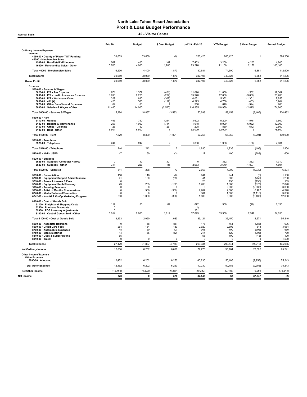Accrual Basis 42 - Visitor Center

|                                                                                                                                                                                                                                                                                                               | Feb 20                                                                    | <b>Budget</b>                                             | \$ Over Budget                                                 | Jul '19 - Feb 20                                             | <b>YTD Budget</b>                                              | \$ Over Budget                                                             | <b>Annual Budget</b>                                                |
|---------------------------------------------------------------------------------------------------------------------------------------------------------------------------------------------------------------------------------------------------------------------------------------------------------------|---------------------------------------------------------------------------|-----------------------------------------------------------|----------------------------------------------------------------|--------------------------------------------------------------|----------------------------------------------------------------|----------------------------------------------------------------------------|---------------------------------------------------------------------|
| <b>Ordinary Income/Expense</b>                                                                                                                                                                                                                                                                                |                                                                           |                                                           |                                                                |                                                              |                                                                |                                                                            |                                                                     |
| Income<br>4050-00 · County of Placer TOT Funding                                                                                                                                                                                                                                                              | 33,689                                                                    | 33,689                                                    | (0)                                                            | 266,426                                                      | 266,425                                                        | 1                                                                          | 398,306                                                             |
| 46000 · Merchandise Sales<br>4502-00 · Non-Retail VIC income                                                                                                                                                                                                                                                  | 567                                                                       | 400                                                       | 167                                                            | 7,403                                                        | 3,200                                                          | 4,203                                                                      | 4,800                                                               |
| 46000 · Merchandise Sales - Other                                                                                                                                                                                                                                                                             | 5,703                                                                     | 4,000                                                     | 1,703                                                          | 73,278                                                       | 71,100                                                         | 2,178                                                                      | 108,100                                                             |
| Total 46000 · Merchandise Sales                                                                                                                                                                                                                                                                               | 6,270                                                                     | 4,400                                                     | 1,870                                                          | 80,681                                                       | 74,300                                                         | 6,381                                                                      | 112,900                                                             |
| <b>Total Income</b>                                                                                                                                                                                                                                                                                           | 39,959                                                                    | 38,089                                                    | 1,870                                                          | 347,107                                                      | 340,725                                                        | 6,382                                                                      | 511,206                                                             |
| <b>Gross Profit</b>                                                                                                                                                                                                                                                                                           | 39,959                                                                    | 38,089                                                    | 1,870                                                          | 347,107                                                      | 340,725                                                        | 6,382                                                                      | 511,206                                                             |
| <b>Expense</b><br>5000-00 · Salaries & Wages<br>5020-00 · P/R - Tax Expense<br>5030-00 · P/R - Health Insurance Expense<br>5040-00 · P/R - Workmans Comp<br>5060-00 $\cdot$ 401 (k)<br>5070-00 Other Benefits and Expenses<br>5000-00 · Salaries & Wages - Other                                              | 971<br>1,993<br>329<br>428<br>84<br>11,480                                | 1,372<br>2,225<br>630<br>560<br>80<br>14,000              | (401)<br>(232)<br>(302)<br>(132)<br>(2,520)                    | 11,096<br>13,970<br>4,051<br>4.325<br>316<br>116,935         | 11,658<br>17,800<br>5,352<br>4,758<br>640<br>118,950           | (562)<br>(3,830)<br>(1, 301)<br>(433)<br>(324)<br>(2,015)                  | 17,362<br>26,700<br>7,856<br>6,984<br>960<br>174,600                |
| Total 5000-00 · Salaries & Wages                                                                                                                                                                                                                                                                              | 15,284                                                                    | 18,867                                                    | (3, 583)                                                       | 150,693                                                      | 159,158                                                        | (8, 465)                                                                   | 234,462                                                             |
| 5100-00 · Rent<br>5110-00 · Utilities<br>5140-00 · Repairs & Maintenance<br>5150-00 · Office - Cleaning<br>5100-00 · Rent - Other                                                                                                                                                                             | 496<br>257<br>25<br>6,501                                                 | 750<br>1,000<br>50<br>6,500                               | (254)<br>(744)<br>(25)<br>-1                                   | 3.622<br>1,918<br>208<br>52,009                              | 5.200<br>8,000<br>850<br>52,000                                | (1,578)<br>(6,082)<br>(642)<br>9                                           | 7.600<br>12,000<br>2,500<br>78,800                                  |
| Total 5100-00 · Rent                                                                                                                                                                                                                                                                                          | 7,279                                                                     | 8,300                                                     | (1,021)                                                        | 57,756                                                       | 66,050                                                         | (8, 294)                                                                   | 100,900                                                             |
| 5310-00 · Telephone<br>5320-00 · Telephone                                                                                                                                                                                                                                                                    | 244                                                                       | 242                                                       | $\overline{c}$                                                 | 1,830                                                        | 1,936                                                          | (106)                                                                      | 2,904                                                               |
| Total 5310-00 · Telephone                                                                                                                                                                                                                                                                                     | 244                                                                       | 242                                                       | $\overline{c}$                                                 | 1,830                                                        | 1,936                                                          | (106)                                                                      | 2,904                                                               |
| 5420-00 · Mail - USPS                                                                                                                                                                                                                                                                                         | 47                                                                        | 50                                                        | (3)                                                            | 117                                                          | 400                                                            | (283)                                                                      | 600                                                                 |
| 5520-00 · Supplies<br>5525-00 · Supplies- Computer <\$1000<br>5520-00 · Supplies - Other                                                                                                                                                                                                                      | 0<br>311                                                                  | 12<br>226                                                 | (12)<br>85                                                     | $\Omega$<br>2,663                                            | 332<br>3,670                                                   | (332)<br>(1,007)                                                           | 1.310<br>4,894                                                      |
| Total 5520-00 · Supplies                                                                                                                                                                                                                                                                                      | 311                                                                       | 238                                                       | 73                                                             | 2,663                                                        | 4,002                                                          | (1, 339)                                                                   | 6,204                                                               |
| 5610-00 · Depreciation<br>5700-00 · Equipment Support & Maintenance<br>5710-00 · Taxes. Licenses & Fees<br>5740-00 · Equipment Rental/Leasing<br>5800-00 · Training Seminars<br>5850-00 · Artist of Month - Commissions<br>6740-00 · Media/Collateral/Production<br>6742-00 · Non-NLT Co-Op Marketing Program | 118<br>41<br>$\Omega$<br>73<br>$\Omega$<br>$\mathbf 0$<br>$\Omega$<br>200 | 118<br>100<br>235<br>$\Omega$<br>360<br>$\Omega$<br>1,000 | (0)<br>(59)<br>(162)<br>$\Omega$<br>(360)<br>$\Omega$<br>(800) | 944<br>41<br>20<br>1,203<br>$\circ$<br>9,287<br>384<br>1,600 | 944<br>800<br>155<br>1,880<br>2,000<br>2,880<br>1,500<br>8,000 | (0)<br>(759)<br>(135)<br>(677)<br>(2,000)<br>6,407<br>(1, 116)<br>(6, 400) | 1,180<br>1,200<br>155<br>2,820<br>3,000<br>4,320<br>3,000<br>12,000 |
| 8100-00 · Cost of Goods Sold<br>51100 · Freight and Shipping Costs<br>52500 · Purchase Discounts<br>59900 · POS Inventory Adjustments                                                                                                                                                                         | 119<br>$\Omega$<br>$\mathbf 0$                                            | 50                                                        | 69                                                             | 872<br>(1)<br>351                                            | 900                                                            | (28)                                                                       | 1,190                                                               |
| 8100-00 Cost of Goods Sold - Other                                                                                                                                                                                                                                                                            | 3,014                                                                     | 2,000                                                     | 1,014                                                          | 37,899                                                       | 35,550                                                         | 2,349                                                                      | 54,050                                                              |
| Total 8100-00 · Cost of Goods Sold<br>8200-00 · Associate Relations<br>8500-00 Credit Card Fees<br>8700-00 · Automobile Expenses<br>8750-00 · Meals/Meetings<br>8810-00 · Dues & Subscriptions<br>8910-00 · Travel                                                                                            | 3,133<br>$\Omega$<br>284<br>48<br>14<br>55<br>$\mathbf 0$                 | 2,050<br>58<br>154<br>50<br>65<br>0                       | 1,083<br>(58)<br>130<br>(2)<br>(52)<br>$\pmb{0}$               | 39,121<br>176<br>2,920<br>308<br>214<br>55<br>$\circ$        | 36,450<br>464<br>2,602<br>700<br>520<br>100<br>0               | 2,671<br>(288)<br>318<br>(392)<br>(306)<br>(45)<br>$^{\circ}$              | 55,240<br>696<br>3,954<br>950<br>780<br>100<br>1,500                |
| <b>Total Expense</b>                                                                                                                                                                                                                                                                                          | 27,129                                                                    | 31,887                                                    | (4, 758)                                                       | 269,331                                                      | 290,541                                                        | (21, 210)                                                                  | 435,965                                                             |
| <b>Net Ordinary Income</b>                                                                                                                                                                                                                                                                                    | 12,830                                                                    | 6,202                                                     | 6,628                                                          | 77,776                                                       | 50,184                                                         | 27,592                                                                     | 75,241                                                              |
| <b>Other Income/Expense</b><br><b>Other Expense</b><br>8990-00 · Allocated                                                                                                                                                                                                                                    | 12,452                                                                    | 6,202                                                     | 6,250                                                          | 40,230                                                       | 50,186                                                         | (9,956)                                                                    | 75,243                                                              |
| <b>Total Other Expense</b>                                                                                                                                                                                                                                                                                    | 12,452                                                                    | 6,202                                                     | 6,250                                                          | 40,230                                                       | 50,186                                                         | (9,956)                                                                    | 75,243                                                              |
| <b>Net Other Income</b>                                                                                                                                                                                                                                                                                       | (12, 452)                                                                 | (6, 202)                                                  | (6, 250)                                                       | (40, 230)                                                    | (50, 186)                                                      | 9.956                                                                      | (75, 243)                                                           |
| Net Income                                                                                                                                                                                                                                                                                                    | 378                                                                       | 0                                                         | 378                                                            | 37,545                                                       | (2)                                                            | 37,547                                                                     | (2)                                                                 |
|                                                                                                                                                                                                                                                                                                               |                                                                           |                                                           |                                                                |                                                              |                                                                |                                                                            |                                                                     |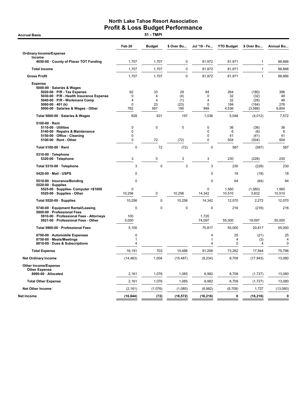**Accrual Basis** 

|                                                                                                                                                                                                                           | Feb 20                             | <b>Budget</b>             | \$ Over Bu                      | Jul '19 - Fe                                              | <b>YTD Budget</b>               | \$ Over Bu                                | <b>Annual Bu</b>                |
|---------------------------------------------------------------------------------------------------------------------------------------------------------------------------------------------------------------------------|------------------------------------|---------------------------|---------------------------------|-----------------------------------------------------------|---------------------------------|-------------------------------------------|---------------------------------|
| <b>Ordinary Income/Expense</b>                                                                                                                                                                                            |                                    |                           |                                 |                                                           |                                 |                                           |                                 |
| Income<br>4050-00 · County of Placer TOT Funding                                                                                                                                                                          | 1,707                              | 1,707                     | 0                               | 81,972                                                    | 81,971                          | $\mathbf{1}$                              | 88,866                          |
|                                                                                                                                                                                                                           |                                    | 1,707                     | $\pmb{0}$                       | 81,972                                                    | 81,971                          | $\mathbf{1}$                              |                                 |
| <b>Total Income</b>                                                                                                                                                                                                       | 1,707                              |                           |                                 |                                                           |                                 |                                           | 88,866                          |
| <b>Gross Profit</b>                                                                                                                                                                                                       | 1,707                              | 1,707                     | 0                               | 81,972                                                    | 81,971                          | $\mathbf{1}$                              | 88,866                          |
| <b>Expense</b><br>5000-00 · Salaries & Wages<br>5020-00 · P/R - Tax Expense<br>5030-00 · P/R - Health Insurance Expense<br>5040-00 · P/R - Workmans Comp<br>5060-00 $\cdot$ 401 (k)<br>5000-00 · Salaries & Wages - Other | 62<br>0<br>4<br>$\mathbf 0$<br>762 | 33<br>4<br>4<br>23<br>567 | 29<br>(4)<br>(1)<br>(23)<br>195 | 84<br>$\mathbf 0$<br>$\overline{4}$<br>$\mathbf 0$<br>948 | 264<br>32<br>32<br>184<br>4,536 | (180)<br>(32)<br>(28)<br>(184)<br>(3,588) | 396<br>48<br>48<br>276<br>6,804 |
| Total 5000-00 · Salaries & Wages                                                                                                                                                                                          | 828                                | 631                       | 197                             | 1,036                                                     | 5,048                           | (4,012)                                   | 7,572                           |
| 5100-00 · Rent<br>5110-00 · Utilities<br>5140-00 · Repairs & Maintenance<br>5150-00 · Office - Cleaning<br>5100-00 · Rent - Other                                                                                         | 0<br>0<br>$\Omega$<br>$\mathbf 0$  | 0<br>72                   | $\mathbf 0$<br>(72)             | $\pmb{0}$<br>$\Omega$<br>$\Omega$<br>$\mathbf 0$          | 36<br>6<br>41<br>504            | (36)<br>(6)<br>(41)<br>(504)              | 36<br>6<br>41<br>504            |
| Total 5100-00 · Rent                                                                                                                                                                                                      | $\Omega$                           | 72                        | (72)                            | $\mathbf 0$                                               | 587                             | (587)                                     | 587                             |
| 5310-00 · Telephone<br>5320-00 · Telephone                                                                                                                                                                                | 3                                  | 0                         | 3                               | 3                                                         | 230                             | (228)                                     | 230                             |
| Total 5310-00 · Telephone                                                                                                                                                                                                 | 3                                  | 0                         | 3                               | 3                                                         | 230                             | (228)                                     | 230                             |
| 5420-00 · Mail - USPS                                                                                                                                                                                                     | $\mathbf 0$                        |                           |                                 | $\mathbf 0$                                               | 18                              | (18)                                      | 18                              |
| 5510-00 · Insurance/Bonding                                                                                                                                                                                               | $\mathbf 0$                        |                           |                                 | $\mathbf 0$                                               | 64                              | (64)                                      | 64                              |
| $5520-00 \cdot$ Supplies<br>5525-00 · Supplies- Computer <\$1000<br>5520-00 · Supplies - Other                                                                                                                            | $\mathbf 0$<br>10,256              | 0                         | 10,256                          | $\mathbf 0$<br>14,342                                     | 1,560<br>10,510                 | (1,560)<br>3,832                          | 1,560<br>10,510                 |
| Total 5520-00 · Supplies                                                                                                                                                                                                  | 10,256                             | 0                         | 10,256                          | 14,342                                                    | 12,070                          | 2,272                                     | 12,070                          |
| 5740-00 · Equipment Rental/Leasing                                                                                                                                                                                        | 0                                  | $\mathbf 0$               | 0                               | 0                                                         | 216                             | (216)                                     | 216                             |
| 5900-00 · Professional Fees<br>5910-00 · Professional Fees - Attorneys<br>5921-00 · Professional Fees - Other                                                                                                             | 100<br>5,000                       |                           |                                 | 1,720<br>74,097                                           | 55,000                          | 19,097                                    | 55,000                          |
| Total 5900-00 · Professional Fees                                                                                                                                                                                         | 5,100                              |                           |                                 | 75,817                                                    | 55,000                          | 20,817                                    | 55,000                          |
| 8700-00 · Automobile Expenses<br>8750-00 · Meals/Meetings<br>8810-00 · Dues & Subscriptions                                                                                                                               | 0<br>1<br>4                        |                           |                                 | 4<br>1<br>4                                               | 25<br>4<br>0                    | (21)<br>(3)<br>$\overline{4}$             | 25<br>4<br>$\mathbf 0$          |
| <b>Total Expense</b>                                                                                                                                                                                                      | 16,191                             | 703                       | 15,488                          | 91,206                                                    | 73,262                          | 17,944                                    | 75,786                          |
| <b>Net Ordinary Income</b>                                                                                                                                                                                                | (14, 483)                          | 1,004                     | (15, 487)                       | (9,234)                                                   | 8,709                           | (17, 943)                                 | 13,080                          |
| <b>Other Income/Expense</b><br><b>Other Expense</b>                                                                                                                                                                       |                                    |                           |                                 |                                                           |                                 |                                           |                                 |
| 8990-00 · Allocated                                                                                                                                                                                                       | 2,161                              | 1,076                     | 1,085                           | 6,982                                                     | 8,709                           | (1, 727)                                  | 13,080                          |
| <b>Total Other Expense</b>                                                                                                                                                                                                | 2,161                              | 1,076                     | 1,085                           | 6,982                                                     | 8,709                           | (1, 727)                                  | 13,080                          |
| <b>Net Other Income</b>                                                                                                                                                                                                   | (2, 161)                           | (1,076)                   | (1,085)                         | (6,982)                                                   | (8,709)                         | 1,727                                     | (13,080)                        |
| Net Income                                                                                                                                                                                                                | (16, 644)                          | (72)                      | (16, 572)                       | (16, 216)                                                 | 0                               | (16, 216)                                 | $\bf{0}$                        |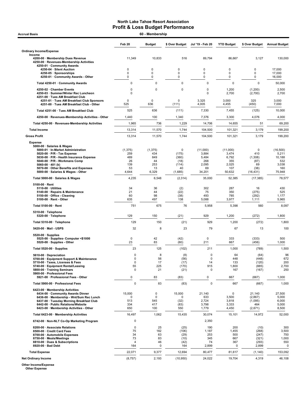| 60 - Membership<br><b>Accrual Basis</b>                                                                               |                   |                 |                  |                            |                            |                            |                      |  |
|-----------------------------------------------------------------------------------------------------------------------|-------------------|-----------------|------------------|----------------------------|----------------------------|----------------------------|----------------------|--|
|                                                                                                                       | Feb <sub>20</sub> | <b>Budget</b>   | \$ Over Budget   | Jul '19 - Feb 20           | <b>YTD Budget</b>          | \$ Over Budget             | <b>Annual Budget</b> |  |
| <b>Ordinary Income/Expense</b>                                                                                        |                   |                 |                  |                            |                            |                            |                      |  |
| Income<br>4200-00 · Membership Dues Revenue<br>4250-00 · Revenues-Membership Activities<br>4250-01 · Community Awards | 11,349            | 10,833          | 516              | 89,794                     | 86,667                     | 3,127                      | 130,000              |  |
| 4250-04 · Silent Auction                                                                                              | 0                 | 0               | 0                | 0                          | 0                          | 0                          | 17,000               |  |
| 4250-05 · Sponsorships<br>4250-01 Community Awards - Other                                                            | 0<br>0            | 0<br>0          | $\mathbf 0$<br>0 | 0<br>0                     | $\mathbf 0$<br>$\mathbf 0$ | $\mathbf 0$<br>$\mathbf 0$ | 17,000<br>16,000     |  |
| Total 4250-01 · Community Awards                                                                                      | 0                 | 0               | $\mathbf 0$      | $\mathbf 0$                | 0                          | $\mathbf 0$                | 50,000               |  |
| 4250-02 · Chamber Events<br>4250-03 · Summer/Winter Rec Luncheon<br>4251-00 · Tues AM Breakfast Club                  | 0<br>0            | $\mathbf 0$     | $\mathbf 0$      | $\mathbf 0$<br>$\mathbf 0$ | 1,200<br>2,700             | (1,200)<br>(2,700)         | 2,500<br>2,700       |  |
| 4251-01 · Tues AM Breakfast Club Sponsors<br>4251-00 · Tues AM Breakfast Club - Other                                 | 0<br>525          | 0<br>636        | 0<br>(111)       | 3,325<br>4,005             | 3,000<br>4,455             | 325<br>(450)               | 3,000<br>7,000       |  |
| Total 4251-00 · Tues AM Breakfast Club                                                                                | 525               | 636             | (111)            | 7,330                      | 7,455                      | (125)                      | 10,000               |  |
| 4250-00 · Revenues-Membership Activities - Other                                                                      | 1,440             | 100             | 1,340            | 7,376                      | 3,300                      | 4,076                      | 4,000                |  |
| Total 4250-00 · Revenues-Membership Activities                                                                        | 1,965             | 736             | 1,229            | 14,706                     | 14,655                     | 51                         | 69,200               |  |
| <b>Total Income</b>                                                                                                   | 13,314            | 11,570          | 1,744            | 104,500                    | 101,321                    | 3,179                      | 199,200              |  |
| <b>Gross Profit</b>                                                                                                   | 13,314            | 11,570          | 1,744            | 104,500                    | 101,321                    | 3,179                      | 199,200              |  |
| <b>Expense</b>                                                                                                        |                   |                 |                  |                            |                            |                            |                      |  |
| 5000-00 · Salaries & Wages                                                                                            |                   |                 |                  |                            |                            |                            |                      |  |
| 5000-01 · In-Market Administration<br>5020-00 · P/R - Tax Expense                                                     | (1, 375)<br>259   | (1, 375)<br>434 | 0<br>(175)       | (11,000)<br>3,884          | (11,000)<br>3,474          | $\Omega$<br>410            | (16,500)<br>5,211    |  |
| 5030-00 · P/R - Health Insurance Expense                                                                              | 489<br>26         | 849<br>44       | (360)            | 5,484<br>268               | 6,792<br>355               | (1,308)                    | 10,188<br>532        |  |
| 5040-00 · P/R - Workmans Comp<br>5060-00 $\cdot$ 401 (k)                                                              | 139               | 253             | (18)<br>(114)    | 2,095                      | 2,025                      | (87)<br>69                 | 3,038                |  |
| 5070-00 · Other Benefits and Expenses<br>5000-00 · Salaries & Wages - Other                                           | 53<br>4,644       | 13<br>6,329     | 40<br>(1,685)    | 69<br>34,201               | 107<br>50,632              | (38)<br>(16, 431)          | 160<br>75,948        |  |
| Total 5000-00 · Salaries & Wages                                                                                      | 4,235             | 6,548           | (2, 314)         | 35,000                     | 52,385                     | (17, 385)                  | 78,577               |  |
| $5100-00 \cdot$ Rent                                                                                                  |                   |                 |                  |                            |                            |                            |                      |  |
| 5110-00 · Utilities                                                                                                   | 34                | 36              | (2)              | 302                        | 287                        | 16                         | 430                  |  |
| 5140-00 · Repairs & Maintenance<br>5150-00 · Office - Cleaning                                                        | 21<br>60          | 44<br>98        | (22)<br>(38)     | 75<br>493                  | 350<br>785                 | (275)<br>(292)             | 525<br>1,177         |  |
| 5100-00 · Rent - Other                                                                                                | 635               | 497             | 138              | 5,088                      | 3,977                      | 1,111                      | 5,965                |  |
| Total 5100-00 · Rent                                                                                                  | 751               | 675             | 76               | 5,958                      | 5,398                      | 560                        | 8,097                |  |
| 5310-00 · Telephone<br>5320-00 · Telephone                                                                            | 129               | 150             | (21)             | 929                        | 1,200                      | (272)                      | 1,800                |  |
| Total 5310-00 · Telephone                                                                                             | 129               | 150             | (21)             | 929                        | 1,200                      | (272)                      | 1,800                |  |
| 5420-00 Mail USPS                                                                                                     | 32                | 8               | 23               | 79                         | 67                         | 13                         | 100                  |  |
| $5520-00 \cdot$ Supplies<br>5525 00 · Supplies Computer <\$1000<br>5520-00 · Supplies - Other                         | 0<br>23           | 42<br>83        | (42)<br>(60)     | $\mathbf 0$<br>211         | 333<br>667                 | (333)<br>(456)             | 500<br>1,000         |  |
| Total 5520-00 · Supplies                                                                                              | 23                | 125             | (102)            | 211                        | 1,000                      | (789)                      | 1,500                |  |
| 5610-00 · Depreciation                                                                                                | U                 | ୪               | (8)              | 0                          | 64                         | (64)                       | 96                   |  |
| 5700-00 · Equipment Support & Maintenance                                                                             | 0                 | 56              | (56)             | $\pmb{0}$                  | 448                        | (448)                      | 672                  |  |
| 5710-00 · Taxes, Licenses & Fees<br>5740-00 · Equipment Rental/Leasing                                                | $\mathbf 0$<br>55 | 17<br>225       | (17)<br>(170)    | 14<br>915                  | 133<br>1,800               | (120)<br>(885)             | 200<br>2,700         |  |
| 5800-00 · Training Seminars<br>5900-00 · Professional Fees                                                            | 0                 | 21              | (21)             | 0                          | 167                        | (167)                      | 250                  |  |
| 5921-00 · Professional Fees - Other                                                                                   | 0                 | 83              | (83)             | 0                          | 667                        | (667)                      | 1,000                |  |
| Total 5900-00 · Professional Fees                                                                                     | 0                 | 83              | (83)             | $\mathbf 0$                | 667                        | (667)                      | 1,000                |  |
| 6423-00 · Membership Activities<br>6434-00 · Community Awards Dinner                                                  | 15,000            | 0               | 15,000           | 21,140                     | 0                          | 21,140                     | 27,500               |  |
| 6436-00 · Membership - Wnt/Sum Rec Lunch                                                                              | 0                 | 0               | 0                | 633                        | 3,500                      | (2,867)                    | 5,000                |  |
| 6437-00 · Tuesday Morning Breakfast Club<br>6442-00 · Public Relations/Website                                        | 513<br>334        | 545<br>417      | (32)             | 2,724                      | 3,818                      | (1,095)                    | 6,000                |  |
| 6423-00 · Membership Activities - Other                                                                               | 650               | 100             | (83)<br>550      | 3,798<br>1,779             | 3,333<br>4,450             | 464<br>(2,671)             | 5,000<br>8,500       |  |
| Total 6423-00 · Membership Activities                                                                                 | 16,497            | 1,062           | 15,435           | 30,074                     | 15,101                     | 14,972                     | 52,000               |  |
| 6742-00 · Non-NLT Co-Op Marketing Program                                                                             | 0                 |                 |                  | 2,350                      |                            |                            |                      |  |
| 8200-00 · Associate Relations                                                                                         | 0                 | 25              | (25)             | 190                        | 200                        | (10)                       | 300                  |  |
| 8500-00 · Credit Card Fees                                                                                            | 75                | 182             | (106)            | 1,187                      | 1,455                      | (268)                      | 3,500                |  |
| 8700-00 · Automobile Expenses<br>8750-00 · Meals/Meetings                                                             | 34<br>73          | 63<br>83        | (29)<br>(10)     | 253<br>345                 | 500<br>667                 | (247)<br>(321)             | 750<br>1,000         |  |
| 8810-00 · Dues & Subscriptions                                                                                        | $\overline{4}$    | 46              | (42)             | 74                         | 367                        | (293)                      | 550                  |  |
| 8920-00 · Bad Debt                                                                                                    | 164               | 0               | 164              | 2,899                      | 0                          | 2,899                      | 0                    |  |
| <b>Total Expense</b>                                                                                                  | 22,071            | 9,377           | 12,694           | 80,477                     | 81,617                     | (1, 140)                   | 153,092              |  |
| <b>Net Ordinary Income</b>                                                                                            | (8, 757)          | 2,193           | (10, 950)        | 24,022                     | 19,704                     | 4,319                      | 46,108               |  |

Other Income/Expense Other Expense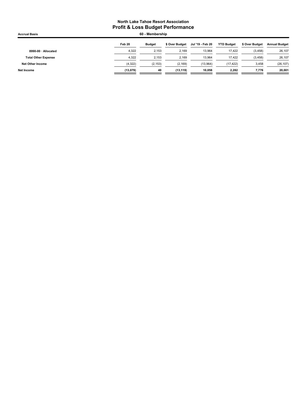| <b>Accrual Basis</b>       |          | 60 - Membership |                |                  |                   |                |                      |
|----------------------------|----------|-----------------|----------------|------------------|-------------------|----------------|----------------------|
|                            | Feb 20   | <b>Budget</b>   | \$ Over Budget | Jul '19 - Feb 20 | <b>YTD Budget</b> | \$ Over Budget | <b>Annual Budget</b> |
| 8990-00 · Allocated        | 4,322    | 2.153           | 2.169          | 13,964           | 17,422            | (3, 458)       | 26,107               |
| <b>Total Other Expense</b> | 4.322    | 2.153           | 2.169          | 13.964           | 17.422            | (3, 458)       | 26,107               |
| Net Other Income           | (4,322)  | (2, 153)        | (2, 169)       | (13,964)         | (17, 422)         | 3,458          | (26, 107)            |
| Net Income                 | (13,079) | 40              | (13, 119)      | 10.058           | 2,282             | 7,776          | 20,001               |